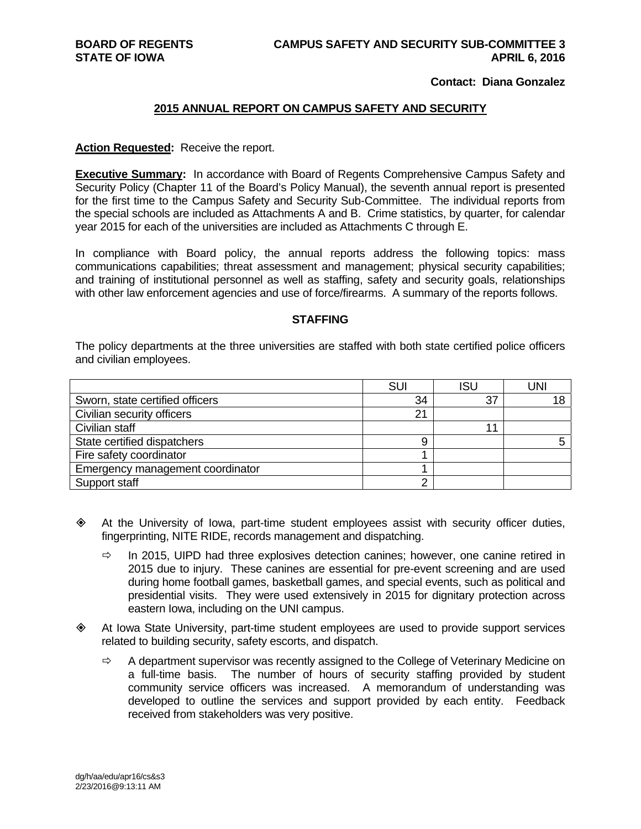#### **Contact: Diana Gonzalez**

#### **2015 ANNUAL REPORT ON CAMPUS SAFETY AND SECURITY**

#### **Action Requested:** Receive the report.

**Executive Summary:** In accordance with Board of Regents Comprehensive Campus Safety and Security Policy (Chapter 11 of the Board's Policy Manual), the seventh annual report is presented for the first time to the Campus Safety and Security Sub-Committee. The individual reports from the special schools are included as Attachments A and B. Crime statistics, by quarter, for calendar year 2015 for each of the universities are included as Attachments C through E.

In compliance with Board policy, the annual reports address the following topics: mass communications capabilities; threat assessment and management; physical security capabilities; and training of institutional personnel as well as staffing, safety and security goals, relationships with other law enforcement agencies and use of force/firearms. A summary of the reports follows.

#### **STAFFING**

The policy departments at the three universities are staffed with both state certified police officers and civilian employees.

|                                  | SUI | ISU | UNI |
|----------------------------------|-----|-----|-----|
| Sworn, state certified officers  | 34  | 37  | 18  |
| Civilian security officers       | 21  |     |     |
| Civilian staff                   |     |     |     |
| State certified dispatchers      |     |     |     |
| Fire safety coordinator          |     |     |     |
| Emergency management coordinator |     |     |     |
| Support staff                    |     |     |     |

- $\diamond$  At the University of Iowa, part-time student employees assist with security officer duties, fingerprinting, NITE RIDE, records management and dispatching.
	- $\Rightarrow$  In 2015, UIPD had three explosives detection canines; however, one canine retired in 2015 due to injury. These canines are essential for pre-event screening and are used during home football games, basketball games, and special events, such as political and presidential visits. They were used extensively in 2015 for dignitary protection across eastern Iowa, including on the UNI campus.
- At Iowa State University, part-time student employees are used to provide support services related to building security, safety escorts, and dispatch.
	- $\Rightarrow$  A department supervisor was recently assigned to the College of Veterinary Medicine on a full-time basis. The number of hours of security staffing provided by student community service officers was increased. A memorandum of understanding was developed to outline the services and support provided by each entity. Feedback received from stakeholders was very positive.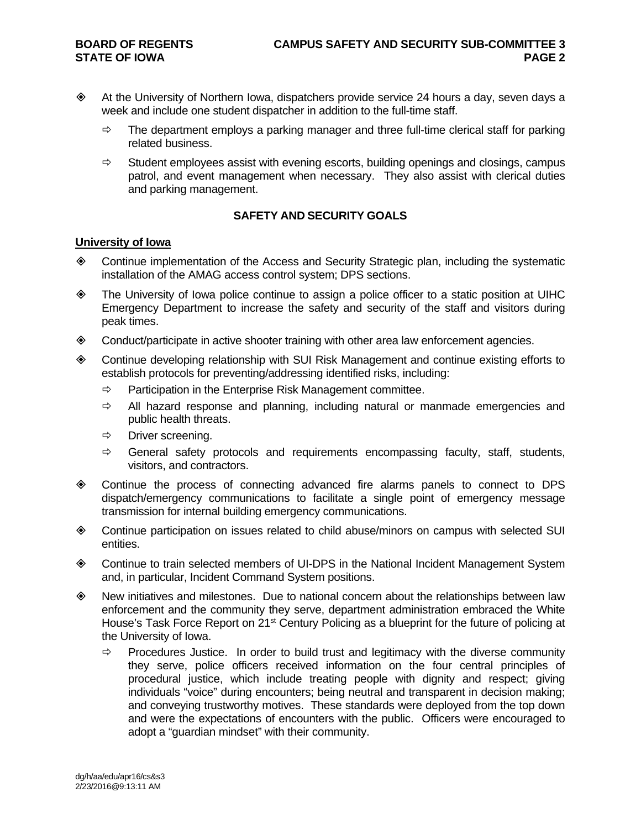- At the University of Northern Iowa, dispatchers provide service 24 hours a day, seven days a week and include one student dispatcher in addition to the full-time staff.
	- $\Rightarrow$  The department employs a parking manager and three full-time clerical staff for parking related business.
	- $\Rightarrow$  Student employees assist with evening escorts, building openings and closings, campus patrol, and event management when necessary. They also assist with clerical duties and parking management.

# **SAFETY AND SECURITY GOALS**

#### **University of Iowa**

- Continue implementation of the Access and Security Strategic plan, including the systematic installation of the AMAG access control system; DPS sections.
- The University of Iowa police continue to assign a police officer to a static position at UIHC Emergency Department to increase the safety and security of the staff and visitors during peak times.
- Conduct/participate in active shooter training with other area law enforcement agencies.
- Continue developing relationship with SUI Risk Management and continue existing efforts to establish protocols for preventing/addressing identified risks, including:
	- $\Rightarrow$  Participation in the Enterprise Risk Management committee.
	- $\Rightarrow$  All hazard response and planning, including natural or manmade emergencies and public health threats.
	- $\Rightarrow$  Driver screening.
	- $\Rightarrow$  General safety protocols and requirements encompassing faculty, staff, students, visitors, and contractors.
- Continue the process of connecting advanced fire alarms panels to connect to DPS dispatch/emergency communications to facilitate a single point of emergency message transmission for internal building emergency communications.
- Continue participation on issues related to child abuse/minors on campus with selected SUI entities.
- Continue to train selected members of UI-DPS in the National Incident Management System and, in particular, Incident Command System positions.
- $\Diamond$  New initiatives and milestones. Due to national concern about the relationships between law enforcement and the community they serve, department administration embraced the White House's Task Force Report on 21st Century Policing as a blueprint for the future of policing at the University of Iowa.
	- $\Rightarrow$  Procedures Justice. In order to build trust and legitimacy with the diverse community they serve, police officers received information on the four central principles of procedural justice, which include treating people with dignity and respect; giving individuals "voice" during encounters; being neutral and transparent in decision making; and conveying trustworthy motives. These standards were deployed from the top down and were the expectations of encounters with the public. Officers were encouraged to adopt a "guardian mindset" with their community.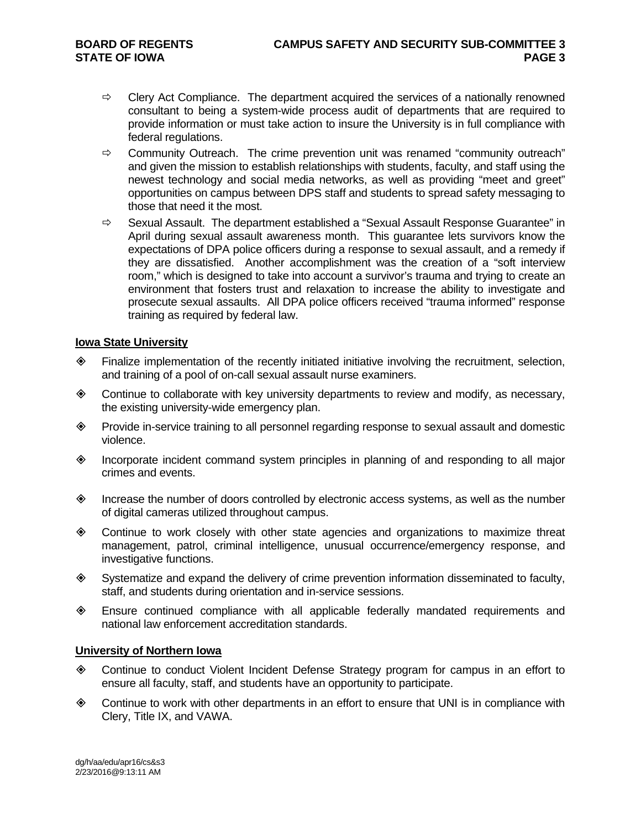- $\Rightarrow$  Clery Act Compliance. The department acquired the services of a nationally renowned consultant to being a system-wide process audit of departments that are required to provide information or must take action to insure the University is in full compliance with federal regulations.
- $\Rightarrow$  Community Outreach. The crime prevention unit was renamed "community outreach" and given the mission to establish relationships with students, faculty, and staff using the newest technology and social media networks, as well as providing "meet and greet" opportunities on campus between DPS staff and students to spread safety messaging to those that need it the most.
- $\Rightarrow$  Sexual Assault. The department established a "Sexual Assault Response Guarantee" in April during sexual assault awareness month. This guarantee lets survivors know the expectations of DPA police officers during a response to sexual assault, and a remedy if they are dissatisfied. Another accomplishment was the creation of a "soft interview room," which is designed to take into account a survivor's trauma and trying to create an environment that fosters trust and relaxation to increase the ability to investigate and prosecute sexual assaults. All DPA police officers received "trauma informed" response training as required by federal law.

# **Iowa State University**

- Finalize implementation of the recently initiated initiative involving the recruitment, selection, and training of a pool of on-call sexual assault nurse examiners.
- Continue to collaborate with key university departments to review and modify, as necessary, the existing university-wide emergency plan.
- Provide in-service training to all personnel regarding response to sexual assault and domestic violence.
- Incorporate incident command system principles in planning of and responding to all major crimes and events.
- $\Diamond$  Increase the number of doors controlled by electronic access systems, as well as the number of digital cameras utilized throughout campus.
- Continue to work closely with other state agencies and organizations to maximize threat management, patrol, criminal intelligence, unusual occurrence/emergency response, and investigative functions.
- $\diamond$  Systematize and expand the delivery of crime prevention information disseminated to faculty, staff, and students during orientation and in-service sessions.
- Ensure continued compliance with all applicable federally mandated requirements and national law enforcement accreditation standards.

# **University of Northern Iowa**

- Continue to conduct Violent Incident Defense Strategy program for campus in an effort to ensure all faculty, staff, and students have an opportunity to participate.
- Continue to work with other departments in an effort to ensure that UNI is in compliance with Clery, Title IX, and VAWA.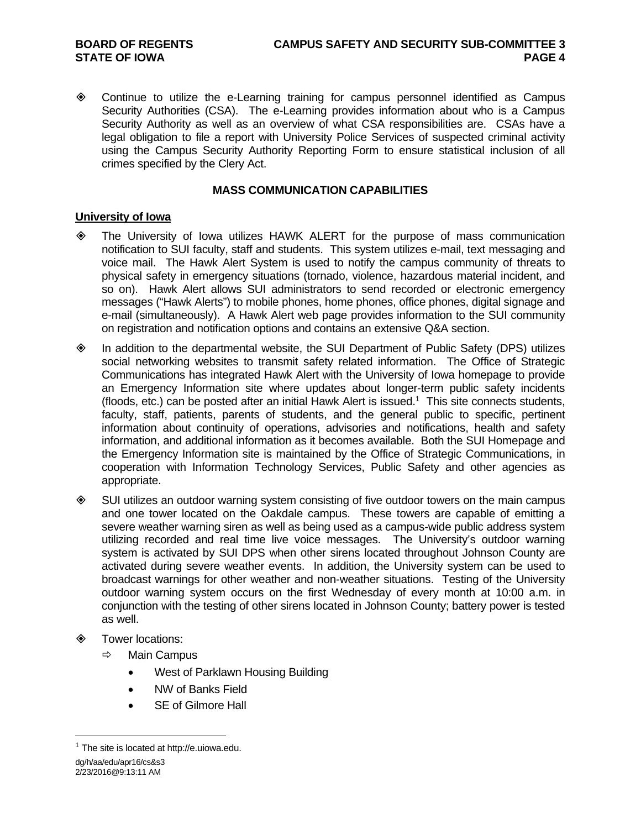Continue to utilize the e-Learning training for campus personnel identified as Campus Security Authorities (CSA). The e-Learning provides information about who is a Campus Security Authority as well as an overview of what CSA responsibilities are. CSAs have a legal obligation to file a report with University Police Services of suspected criminal activity using the Campus Security Authority Reporting Form to ensure statistical inclusion of all crimes specified by the Clery Act.

# **MASS COMMUNICATION CAPABILITIES**

## **University of Iowa**

- The University of Iowa utilizes HAWK ALERT for the purpose of mass communication notification to SUI faculty, staff and students. This system utilizes e-mail, text messaging and voice mail. The Hawk Alert System is used to notify the campus community of threats to physical safety in emergency situations (tornado, violence, hazardous material incident, and so on). Hawk Alert allows SUI administrators to send recorded or electronic emergency messages ("Hawk Alerts") to mobile phones, home phones, office phones, digital signage and e-mail (simultaneously). A Hawk Alert web page provides information to the SUI community on registration and notification options and contains an extensive Q&A section.
- $\Diamond$  In addition to the departmental website, the SUI Department of Public Safety (DPS) utilizes social networking websites to transmit safety related information. The Office of Strategic Communications has integrated Hawk Alert with the University of Iowa homepage to provide an Emergency Information site where updates about longer-term public safety incidents (floods, etc.) can be posted after an initial Hawk Alert is issued.1 This site connects students, faculty, staff, patients, parents of students, and the general public to specific, pertinent information about continuity of operations, advisories and notifications, health and safety information, and additional information as it becomes available. Both the SUI Homepage and the Emergency Information site is maintained by the Office of Strategic Communications, in cooperation with Information Technology Services, Public Safety and other agencies as appropriate.
- $\diamond$  SUI utilizes an outdoor warning system consisting of five outdoor towers on the main campus and one tower located on the Oakdale campus. These towers are capable of emitting a severe weather warning siren as well as being used as a campus-wide public address system utilizing recorded and real time live voice messages. The University's outdoor warning system is activated by SUI DPS when other sirens located throughout Johnson County are activated during severe weather events. In addition, the University system can be used to broadcast warnings for other weather and non-weather situations. Testing of the University outdoor warning system occurs on the first Wednesday of every month at 10:00 a.m. in conjunction with the testing of other sirens located in Johnson County; battery power is tested as well.
- **◈** Tower locations:
	- $\Rightarrow$  Main Campus
		- West of Parklawn Housing Building
		- NW of Banks Field
		- SE of Gilmore Hall

dg/h/aa/edu/apr16/cs&s3 2/23/2016@9:13:11 AM

 $\overline{a}$ 

 $1$  The site is located at http://e.uiowa.edu.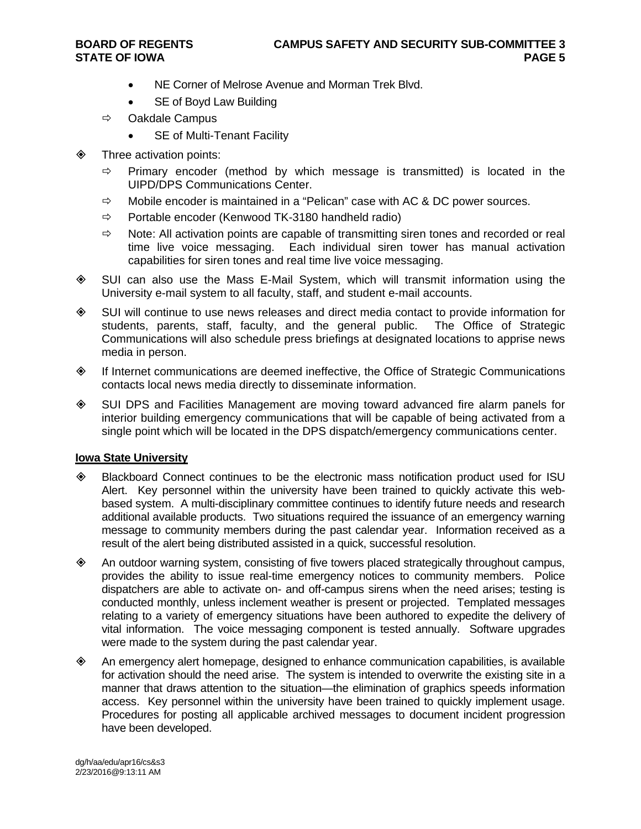- NE Corner of Melrose Avenue and Morman Trek Blvd.
- SE of Boyd Law Building
- $\Rightarrow$  Oakdale Campus
	- SE of Multi-Tenant Facility
- **♦ Three activation points:** 
	- $\Rightarrow$  Primary encoder (method by which message is transmitted) is located in the UIPD/DPS Communications Center.
	- $\Rightarrow$  Mobile encoder is maintained in a "Pelican" case with AC & DC power sources.
	- $\Rightarrow$  Portable encoder (Kenwood TK-3180 handheld radio)
	- $\Rightarrow$  Note: All activation points are capable of transmitting siren tones and recorded or real time live voice messaging. Each individual siren tower has manual activation capabilities for siren tones and real time live voice messaging.
- $\diamond$  SUI can also use the Mass E-Mail System, which will transmit information using the University e-mail system to all faculty, staff, and student e-mail accounts.
- SUI will continue to use news releases and direct media contact to provide information for students, parents, staff, faculty, and the general public. The Office of Strategic Communications will also schedule press briefings at designated locations to apprise news media in person.
- If Internet communications are deemed ineffective, the Office of Strategic Communications contacts local news media directly to disseminate information.
- SUI DPS and Facilities Management are moving toward advanced fire alarm panels for interior building emergency communications that will be capable of being activated from a single point which will be located in the DPS dispatch/emergency communications center.

## **Iowa State University**

- Blackboard Connect continues to be the electronic mass notification product used for ISU Alert. Key personnel within the university have been trained to quickly activate this webbased system. A multi-disciplinary committee continues to identify future needs and research additional available products. Two situations required the issuance of an emergency warning message to community members during the past calendar year. Information received as a result of the alert being distributed assisted in a quick, successful resolution.
- An outdoor warning system, consisting of five towers placed strategically throughout campus, provides the ability to issue real-time emergency notices to community members. Police dispatchers are able to activate on- and off-campus sirens when the need arises; testing is conducted monthly, unless inclement weather is present or projected. Templated messages relating to a variety of emergency situations have been authored to expedite the delivery of vital information. The voice messaging component is tested annually. Software upgrades were made to the system during the past calendar year.
- An emergency alert homepage, designed to enhance communication capabilities, is available for activation should the need arise. The system is intended to overwrite the existing site in a manner that draws attention to the situation—the elimination of graphics speeds information access. Key personnel within the university have been trained to quickly implement usage. Procedures for posting all applicable archived messages to document incident progression have been developed.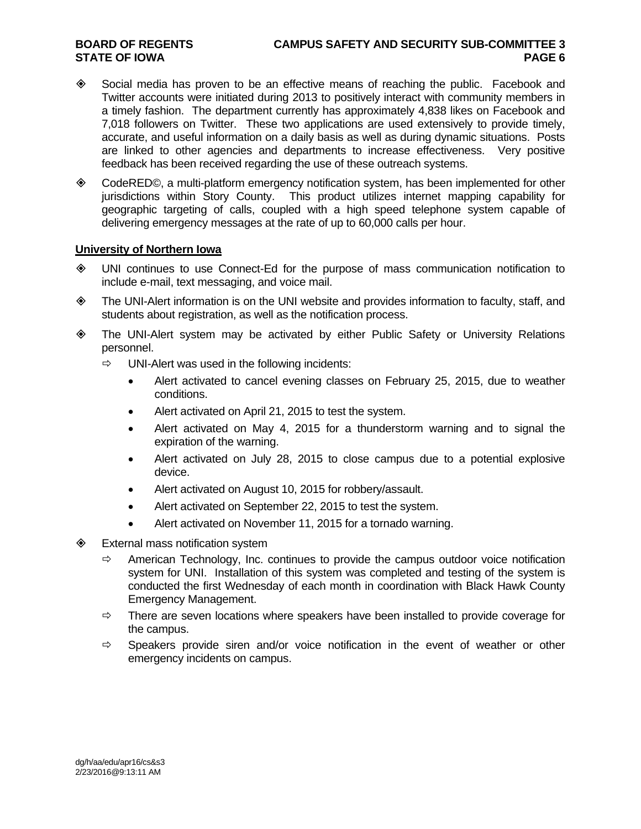## **BOARD OF REGENTS CAMPUS SAFETY AND SECURITY SUB-COMMITTEE 3 STATE OF IOWA** PAGE 6 **PAGE 6**

- Social media has proven to be an effective means of reaching the public. Facebook and Twitter accounts were initiated during 2013 to positively interact with community members in a timely fashion. The department currently has approximately 4,838 likes on Facebook and 7,018 followers on Twitter. These two applications are used extensively to provide timely, accurate, and useful information on a daily basis as well as during dynamic situations. Posts are linked to other agencies and departments to increase effectiveness. Very positive feedback has been received regarding the use of these outreach systems.
- CodeRED©, a multi-platform emergency notification system, has been implemented for other jurisdictions within Story County. This product utilizes internet mapping capability for geographic targeting of calls, coupled with a high speed telephone system capable of delivering emergency messages at the rate of up to 60,000 calls per hour.

# **University of Northern Iowa**

- UNI continues to use Connect-Ed for the purpose of mass communication notification to include e-mail, text messaging, and voice mail.
- The UNI-Alert information is on the UNI website and provides information to faculty, staff, and students about registration, as well as the notification process.
- The UNI-Alert system may be activated by either Public Safety or University Relations personnel.
	- $\Rightarrow$  UNI-Alert was used in the following incidents:
		- Alert activated to cancel evening classes on February 25, 2015, due to weather conditions.
		- Alert activated on April 21, 2015 to test the system.
		- Alert activated on May 4, 2015 for a thunderstorm warning and to signal the expiration of the warning.
		- Alert activated on July 28, 2015 to close campus due to a potential explosive device.
		- Alert activated on August 10, 2015 for robbery/assault.
		- Alert activated on September 22, 2015 to test the system.
		- Alert activated on November 11, 2015 for a tornado warning.
- **♦ External mass notification system** 
	- $\Rightarrow$  American Technology, Inc. continues to provide the campus outdoor voice notification system for UNI. Installation of this system was completed and testing of the system is conducted the first Wednesday of each month in coordination with Black Hawk County Emergency Management.
	- $\Rightarrow$  There are seven locations where speakers have been installed to provide coverage for the campus.
	- $\Rightarrow$  Speakers provide siren and/or voice notification in the event of weather or other emergency incidents on campus.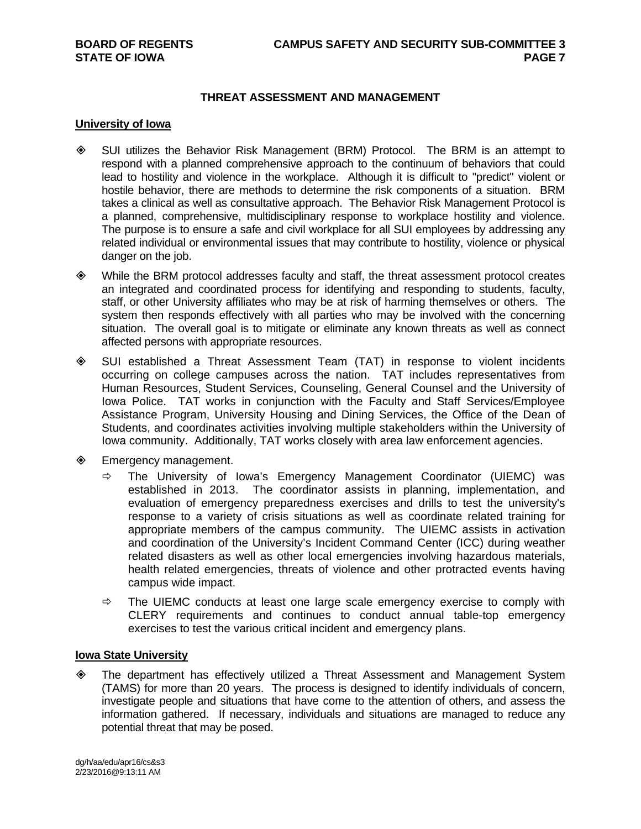# **THREAT ASSESSMENT AND MANAGEMENT**

#### **University of Iowa**

- SUI utilizes the Behavior Risk Management (BRM) Protocol. The BRM is an attempt to respond with a planned comprehensive approach to the continuum of behaviors that could lead to hostility and violence in the workplace. Although it is difficult to "predict" violent or hostile behavior, there are methods to determine the risk components of a situation. BRM takes a clinical as well as consultative approach. The Behavior Risk Management Protocol is a planned, comprehensive, multidisciplinary response to workplace hostility and violence. The purpose is to ensure a safe and civil workplace for all SUI employees by addressing any related individual or environmental issues that may contribute to hostility, violence or physical danger on the job.
- While the BRM protocol addresses faculty and staff, the threat assessment protocol creates an integrated and coordinated process for identifying and responding to students, faculty, staff, or other University affiliates who may be at risk of harming themselves or others. The system then responds effectively with all parties who may be involved with the concerning situation. The overall goal is to mitigate or eliminate any known threats as well as connect affected persons with appropriate resources.
- SUI established a Threat Assessment Team (TAT) in response to violent incidents occurring on college campuses across the nation. TAT includes representatives from Human Resources, Student Services, Counseling, General Counsel and the University of Iowa Police. TAT works in conjunction with the Faculty and Staff Services/Employee Assistance Program, University Housing and Dining Services, the Office of the Dean of Students, and coordinates activities involving multiple stakeholders within the University of Iowa community. Additionally, TAT works closely with area law enforcement agencies.
- **♦ Emergency management.** 
	- $\Rightarrow$  The University of Iowa's Emergency Management Coordinator (UIEMC) was established in 2013. The coordinator assists in planning, implementation, and evaluation of emergency preparedness exercises and drills to test the university's response to a variety of crisis situations as well as coordinate related training for appropriate members of the campus community. The UIEMC assists in activation and coordination of the University's Incident Command Center (ICC) during weather related disasters as well as other local emergencies involving hazardous materials, health related emergencies, threats of violence and other protracted events having campus wide impact.
	- $\Rightarrow$  The UIEMC conducts at least one large scale emergency exercise to comply with CLERY requirements and continues to conduct annual table-top emergency exercises to test the various critical incident and emergency plans.

## **Iowa State University**

 The department has effectively utilized a Threat Assessment and Management System (TAMS) for more than 20 years. The process is designed to identify individuals of concern, investigate people and situations that have come to the attention of others, and assess the information gathered. If necessary, individuals and situations are managed to reduce any potential threat that may be posed.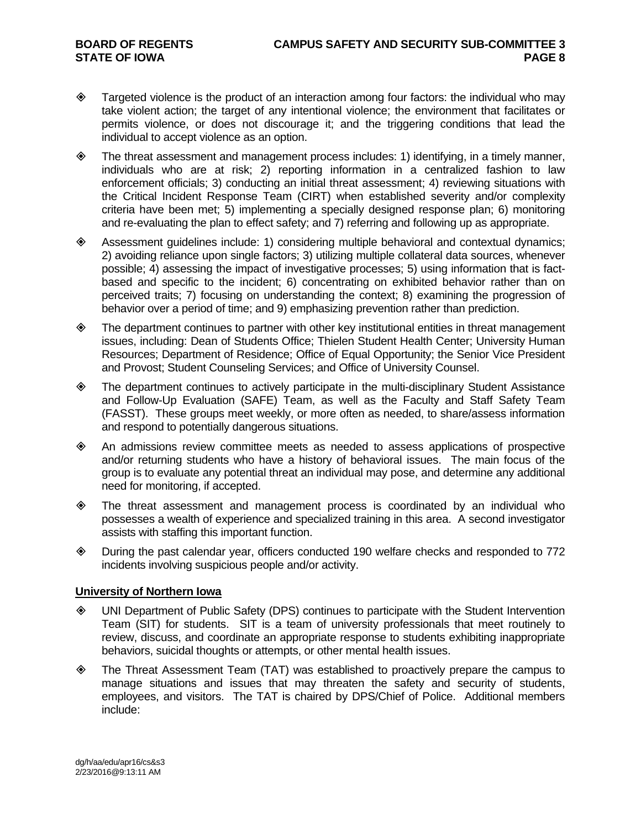- $\diamond$  Targeted violence is the product of an interaction among four factors: the individual who may take violent action; the target of any intentional violence; the environment that facilitates or permits violence, or does not discourage it; and the triggering conditions that lead the individual to accept violence as an option.
- The threat assessment and management process includes: 1) identifying, in a timely manner, individuals who are at risk; 2) reporting information in a centralized fashion to law enforcement officials; 3) conducting an initial threat assessment; 4) reviewing situations with the Critical Incident Response Team (CIRT) when established severity and/or complexity criteria have been met; 5) implementing a specially designed response plan; 6) monitoring and re-evaluating the plan to effect safety; and 7) referring and following up as appropriate.
- Assessment guidelines include: 1) considering multiple behavioral and contextual dynamics; 2) avoiding reliance upon single factors; 3) utilizing multiple collateral data sources, whenever possible; 4) assessing the impact of investigative processes; 5) using information that is factbased and specific to the incident; 6) concentrating on exhibited behavior rather than on perceived traits; 7) focusing on understanding the context; 8) examining the progression of behavior over a period of time; and 9) emphasizing prevention rather than prediction.
- $\diamond$  The department continues to partner with other key institutional entities in threat management issues, including: Dean of Students Office; Thielen Student Health Center; University Human Resources; Department of Residence; Office of Equal Opportunity; the Senior Vice President and Provost; Student Counseling Services; and Office of University Counsel.
- The department continues to actively participate in the multi-disciplinary Student Assistance and Follow-Up Evaluation (SAFE) Team, as well as the Faculty and Staff Safety Team (FASST). These groups meet weekly, or more often as needed, to share/assess information and respond to potentially dangerous situations.
- An admissions review committee meets as needed to assess applications of prospective and/or returning students who have a history of behavioral issues. The main focus of the group is to evaluate any potential threat an individual may pose, and determine any additional need for monitoring, if accepted.
- The threat assessment and management process is coordinated by an individual who possesses a wealth of experience and specialized training in this area. A second investigator assists with staffing this important function.
- During the past calendar year, officers conducted 190 welfare checks and responded to 772 incidents involving suspicious people and/or activity.

## **University of Northern Iowa**

- UNI Department of Public Safety (DPS) continues to participate with the Student Intervention Team (SIT) for students. SIT is a team of university professionals that meet routinely to review, discuss, and coordinate an appropriate response to students exhibiting inappropriate behaviors, suicidal thoughts or attempts, or other mental health issues.
- The Threat Assessment Team (TAT) was established to proactively prepare the campus to manage situations and issues that may threaten the safety and security of students, employees, and visitors. The TAT is chaired by DPS/Chief of Police. Additional members include: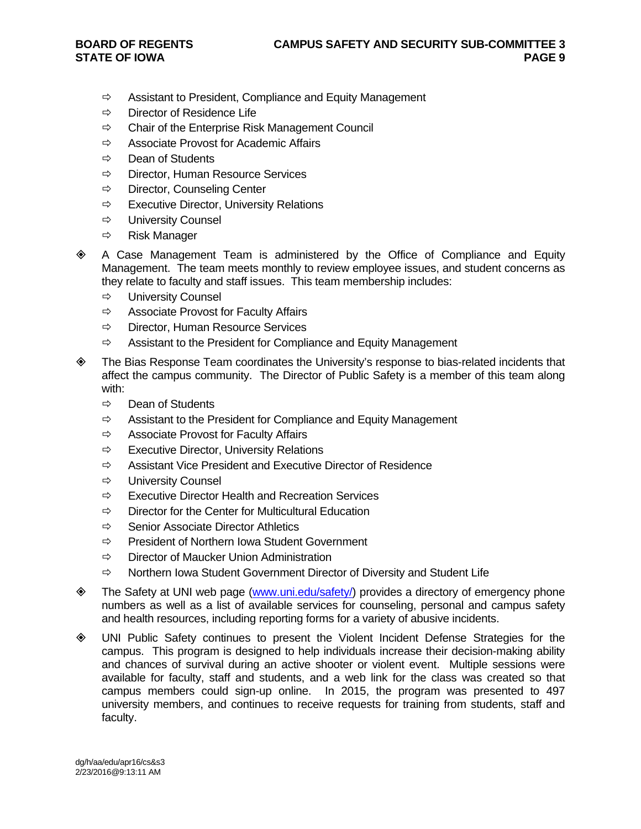- $\Rightarrow$  Assistant to President, Compliance and Equity Management
- $\Rightarrow$  Director of Residence Life
- $\Rightarrow$  Chair of the Enterprise Risk Management Council
- $\Rightarrow$  Associate Provost for Academic Affairs
- $\Rightarrow$  Dean of Students
- $\Rightarrow$  Director, Human Resource Services
- $\Rightarrow$  Director, Counseling Center
- $\Rightarrow$  Executive Director, University Relations
- $\Rightarrow$  University Counsel
- $\Rightarrow$  Risk Manager
- A Case Management Team is administered by the Office of Compliance and Equity Management. The team meets monthly to review employee issues, and student concerns as they relate to faculty and staff issues. This team membership includes:
	- $\Rightarrow$  University Counsel
	- $\Rightarrow$  Associate Provost for Faculty Affairs
	- $\Rightarrow$  Director, Human Resource Services
	- $\Rightarrow$  Assistant to the President for Compliance and Equity Management
- The Bias Response Team coordinates the University's response to bias-related incidents that affect the campus community. The Director of Public Safety is a member of this team along with:
	- $\Rightarrow$  Dean of Students
	- $\Rightarrow$  Assistant to the President for Compliance and Equity Management
	- $\Rightarrow$  Associate Provost for Faculty Affairs
	- $\Rightarrow$  Executive Director, University Relations
	- $\Rightarrow$  Assistant Vice President and Executive Director of Residence
	- $\Rightarrow$  University Counsel
	- $\Rightarrow$  Executive Director Health and Recreation Services
	- $\Rightarrow$  Director for the Center for Multicultural Education
	- $\Rightarrow$  Senior Associate Director Athletics
	- $\Rightarrow$  President of Northern Iowa Student Government
	- $\Rightarrow$  Director of Maucker Union Administration
	- $\Rightarrow$  Northern Iowa Student Government Director of Diversity and Student Life
- **♦ The Safety at UNI web page (www.uni.edu/safety/) provides a directory of emergency phone** numbers as well as a list of available services for counseling, personal and campus safety and health resources, including reporting forms for a variety of abusive incidents.
- UNI Public Safety continues to present the Violent Incident Defense Strategies for the campus. This program is designed to help individuals increase their decision-making ability and chances of survival during an active shooter or violent event. Multiple sessions were available for faculty, staff and students, and a web link for the class was created so that campus members could sign-up online. In 2015, the program was presented to 497 university members, and continues to receive requests for training from students, staff and faculty.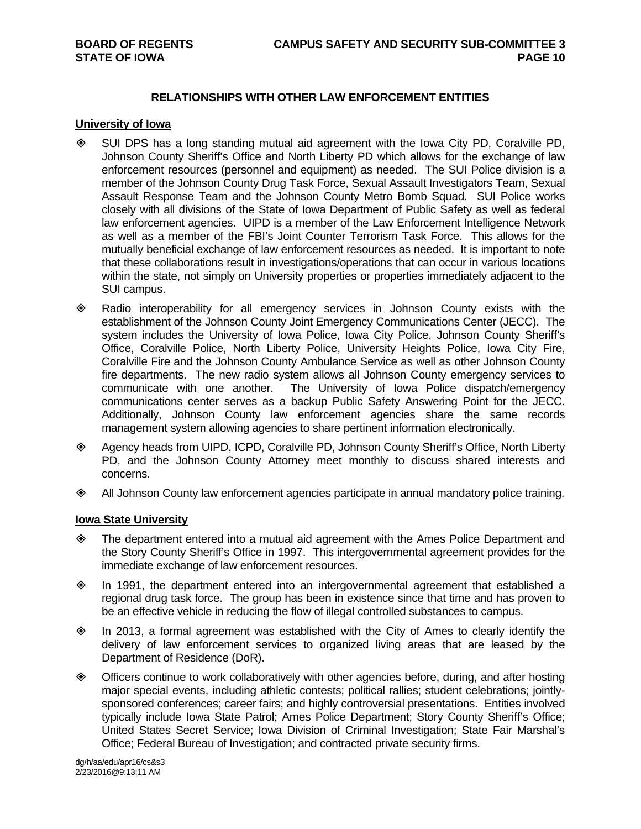# **RELATIONSHIPS WITH OTHER LAW ENFORCEMENT ENTITIES**

# **University of Iowa**

- SUI DPS has a long standing mutual aid agreement with the Iowa City PD, Coralville PD, Johnson County Sheriff's Office and North Liberty PD which allows for the exchange of law enforcement resources (personnel and equipment) as needed. The SUI Police division is a member of the Johnson County Drug Task Force, Sexual Assault Investigators Team, Sexual Assault Response Team and the Johnson County Metro Bomb Squad. SUI Police works closely with all divisions of the State of Iowa Department of Public Safety as well as federal law enforcement agencies. UIPD is a member of the Law Enforcement Intelligence Network as well as a member of the FBI's Joint Counter Terrorism Task Force. This allows for the mutually beneficial exchange of law enforcement resources as needed. It is important to note that these collaborations result in investigations/operations that can occur in various locations within the state, not simply on University properties or properties immediately adjacent to the SUI campus.
- Radio interoperability for all emergency services in Johnson County exists with the establishment of the Johnson County Joint Emergency Communications Center (JECC). The system includes the University of Iowa Police, Iowa City Police, Johnson County Sheriff's Office, Coralville Police, North Liberty Police, University Heights Police, Iowa City Fire, Coralville Fire and the Johnson County Ambulance Service as well as other Johnson County fire departments. The new radio system allows all Johnson County emergency services to communicate with one another. The University of Iowa Police dispatch/emergency communications center serves as a backup Public Safety Answering Point for the JECC. Additionally, Johnson County law enforcement agencies share the same records management system allowing agencies to share pertinent information electronically.
- Agency heads from UIPD, ICPD, Coralville PD, Johnson County Sheriff's Office, North Liberty PD, and the Johnson County Attorney meet monthly to discuss shared interests and concerns.
- All Johnson County law enforcement agencies participate in annual mandatory police training.

## **Iowa State University**

- The department entered into a mutual aid agreement with the Ames Police Department and the Story County Sheriff's Office in 1997. This intergovernmental agreement provides for the immediate exchange of law enforcement resources.
- $\diamond$  In 1991, the department entered into an intergovernmental agreement that established a regional drug task force. The group has been in existence since that time and has proven to be an effective vehicle in reducing the flow of illegal controlled substances to campus.
- $\diamond$  In 2013, a formal agreement was established with the City of Ames to clearly identify the delivery of law enforcement services to organized living areas that are leased by the Department of Residence (DoR).
- Officers continue to work collaboratively with other agencies before, during, and after hosting major special events, including athletic contests; political rallies; student celebrations; jointlysponsored conferences; career fairs; and highly controversial presentations. Entities involved typically include Iowa State Patrol; Ames Police Department; Story County Sheriff's Office; United States Secret Service; Iowa Division of Criminal Investigation; State Fair Marshal's Office; Federal Bureau of Investigation; and contracted private security firms.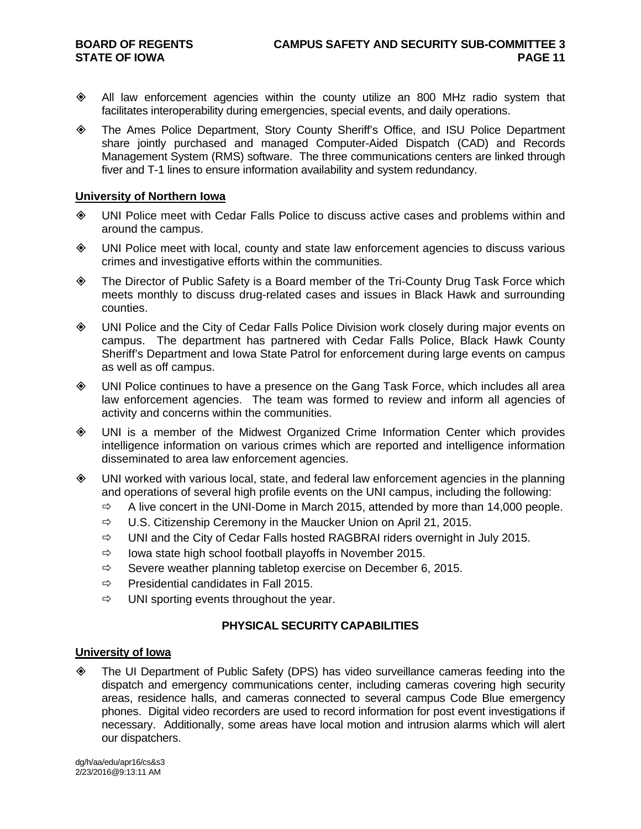- All law enforcement agencies within the county utilize an 800 MHz radio system that facilitates interoperability during emergencies, special events, and daily operations.
- The Ames Police Department, Story County Sheriff's Office, and ISU Police Department share jointly purchased and managed Computer-Aided Dispatch (CAD) and Records Management System (RMS) software. The three communications centers are linked through fiver and T-1 lines to ensure information availability and system redundancy.

#### **University of Northern Iowa**

- UNI Police meet with Cedar Falls Police to discuss active cases and problems within and around the campus.
- UNI Police meet with local, county and state law enforcement agencies to discuss various crimes and investigative efforts within the communities.
- The Director of Public Safety is a Board member of the Tri-County Drug Task Force which meets monthly to discuss drug-related cases and issues in Black Hawk and surrounding counties.
- UNI Police and the City of Cedar Falls Police Division work closely during major events on campus. The department has partnered with Cedar Falls Police, Black Hawk County Sheriff's Department and Iowa State Patrol for enforcement during large events on campus as well as off campus.
- UNI Police continues to have a presence on the Gang Task Force, which includes all area law enforcement agencies. The team was formed to review and inform all agencies of activity and concerns within the communities.
- UNI is a member of the Midwest Organized Crime Information Center which provides intelligence information on various crimes which are reported and intelligence information disseminated to area law enforcement agencies.
- UNI worked with various local, state, and federal law enforcement agencies in the planning and operations of several high profile events on the UNI campus, including the following:
	- $\Rightarrow$  A live concert in the UNI-Dome in March 2015, attended by more than 14,000 people.
	- $\Rightarrow$  U.S. Citizenship Ceremony in the Maucker Union on April 21, 2015.
	- $\Rightarrow$  UNI and the City of Cedar Falls hosted RAGBRAI riders overnight in July 2015.
	- $\Rightarrow$  lowa state high school football playoffs in November 2015.
	- $\Rightarrow$  Severe weather planning tabletop exercise on December 6, 2015.
	- $\Rightarrow$  Presidential candidates in Fall 2015.
	- $\Rightarrow$  UNI sporting events throughout the year.

## **PHYSICAL SECURITY CAPABILITIES**

# **University of Iowa**

 The UI Department of Public Safety (DPS) has video surveillance cameras feeding into the dispatch and emergency communications center, including cameras covering high security areas, residence halls, and cameras connected to several campus Code Blue emergency phones. Digital video recorders are used to record information for post event investigations if necessary. Additionally, some areas have local motion and intrusion alarms which will alert our dispatchers.

dg/h/aa/edu/apr16/cs&s3 2/23/2016@9:13:11 AM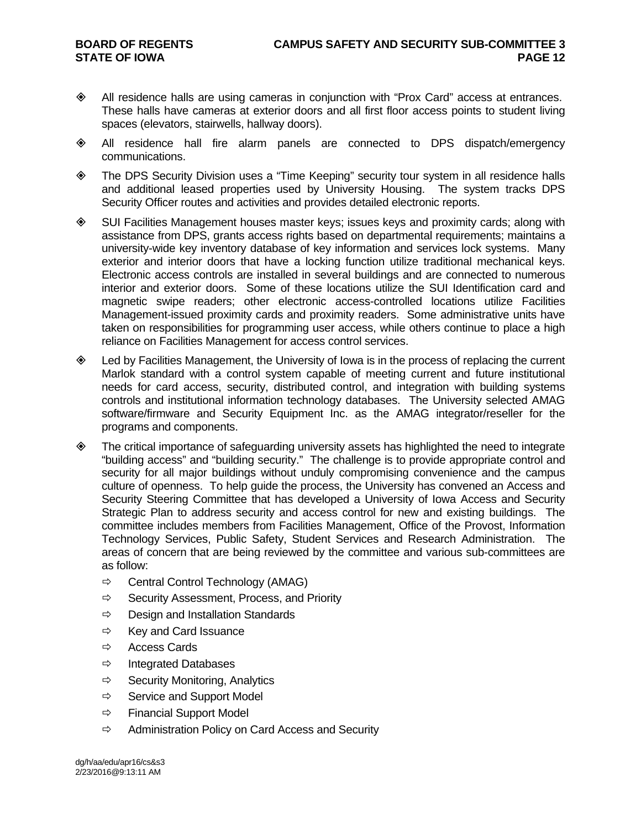- All residence halls are using cameras in conjunction with "Prox Card" access at entrances. These halls have cameras at exterior doors and all first floor access points to student living spaces (elevators, stairwells, hallway doors).
- All residence hall fire alarm panels are connected to DPS dispatch/emergency communications.
- The DPS Security Division uses a "Time Keeping" security tour system in all residence halls and additional leased properties used by University Housing. The system tracks DPS Security Officer routes and activities and provides detailed electronic reports.
- SUI Facilities Management houses master keys; issues keys and proximity cards; along with assistance from DPS, grants access rights based on departmental requirements; maintains a university-wide key inventory database of key information and services lock systems. Many exterior and interior doors that have a locking function utilize traditional mechanical keys. Electronic access controls are installed in several buildings and are connected to numerous interior and exterior doors. Some of these locations utilize the SUI Identification card and magnetic swipe readers; other electronic access-controlled locations utilize Facilities Management-issued proximity cards and proximity readers. Some administrative units have taken on responsibilities for programming user access, while others continue to place a high reliance on Facilities Management for access control services.
- Led by Facilities Management, the University of Iowa is in the process of replacing the current Marlok standard with a control system capable of meeting current and future institutional needs for card access, security, distributed control, and integration with building systems controls and institutional information technology databases. The University selected AMAG software/firmware and Security Equipment Inc. as the AMAG integrator/reseller for the programs and components.
- The critical importance of safeguarding university assets has highlighted the need to integrate "building access" and "building security." The challenge is to provide appropriate control and security for all major buildings without unduly compromising convenience and the campus culture of openness. To help guide the process, the University has convened an Access and Security Steering Committee that has developed a University of Iowa Access and Security Strategic Plan to address security and access control for new and existing buildings. The committee includes members from Facilities Management, Office of the Provost, Information Technology Services, Public Safety, Student Services and Research Administration. The areas of concern that are being reviewed by the committee and various sub-committees are as follow:
	- $\Rightarrow$  Central Control Technology (AMAG)
	- $\Rightarrow$  Security Assessment, Process, and Priority
	- $\Rightarrow$  Design and Installation Standards
	- $\Rightarrow$  Key and Card Issuance
	- $\Rightarrow$  Access Cards
	- $\Rightarrow$  Integrated Databases
	- $\Rightarrow$  Security Monitoring, Analytics
	- $\Rightarrow$  Service and Support Model
	- $\Rightarrow$  Financial Support Model
	- $\Rightarrow$  Administration Policy on Card Access and Security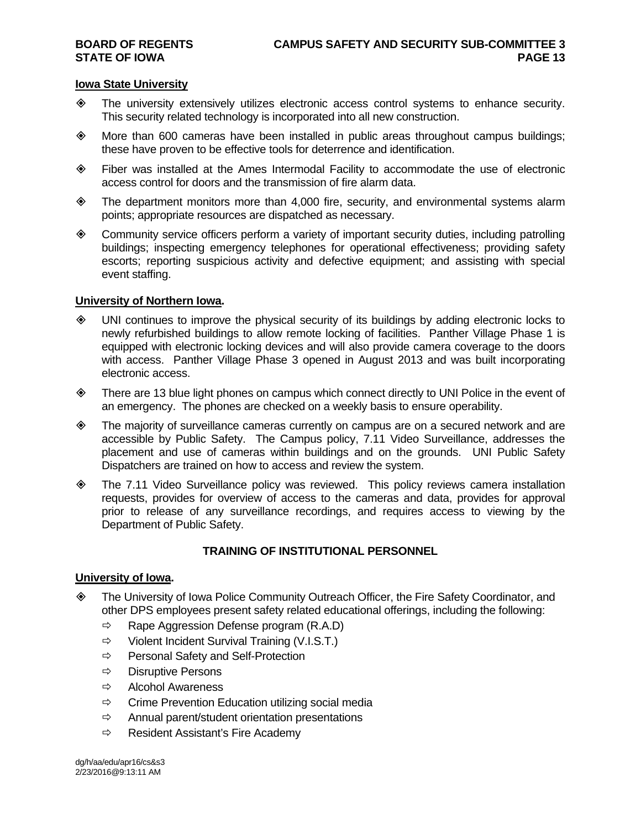#### **Iowa State University**

- The university extensively utilizes electronic access control systems to enhance security. This security related technology is incorporated into all new construction.
- More than 600 cameras have been installed in public areas throughout campus buildings; these have proven to be effective tools for deterrence and identification.
- Fiber was installed at the Ames Intermodal Facility to accommodate the use of electronic access control for doors and the transmission of fire alarm data.
- The department monitors more than 4,000 fire, security, and environmental systems alarm points; appropriate resources are dispatched as necessary.
- Community service officers perform a variety of important security duties, including patrolling buildings; inspecting emergency telephones for operational effectiveness; providing safety escorts; reporting suspicious activity and defective equipment; and assisting with special event staffing.

## **University of Northern Iowa.**

- UNI continues to improve the physical security of its buildings by adding electronic locks to newly refurbished buildings to allow remote locking of facilities. Panther Village Phase 1 is equipped with electronic locking devices and will also provide camera coverage to the doors with access. Panther Village Phase 3 opened in August 2013 and was built incorporating electronic access.
- There are 13 blue light phones on campus which connect directly to UNI Police in the event of an emergency. The phones are checked on a weekly basis to ensure operability.
- The majority of surveillance cameras currently on campus are on a secured network and are accessible by Public Safety. The Campus policy, 7.11 Video Surveillance, addresses the placement and use of cameras within buildings and on the grounds. UNI Public Safety Dispatchers are trained on how to access and review the system.
- The 7.11 Video Surveillance policy was reviewed. This policy reviews camera installation requests, provides for overview of access to the cameras and data, provides for approval prior to release of any surveillance recordings, and requires access to viewing by the Department of Public Safety.

## **TRAINING OF INSTITUTIONAL PERSONNEL**

## **University of Iowa.**

- The University of Iowa Police Community Outreach Officer, the Fire Safety Coordinator, and other DPS employees present safety related educational offerings, including the following:
	- $\Rightarrow$  Rape Aggression Defense program (R.A.D)
	- $\Rightarrow$  Violent Incident Survival Training (V.I.S.T.)
	- $\Rightarrow$  Personal Safety and Self-Protection
	- $\Rightarrow$  Disruptive Persons
	- $\Rightarrow$  Alcohol Awareness
	- $\Rightarrow$  Crime Prevention Education utilizing social media
	- $\Rightarrow$  Annual parent/student orientation presentations
	- $\Rightarrow$  Resident Assistant's Fire Academy

dg/h/aa/edu/apr16/cs&s3 2/23/2016@9:13:11 AM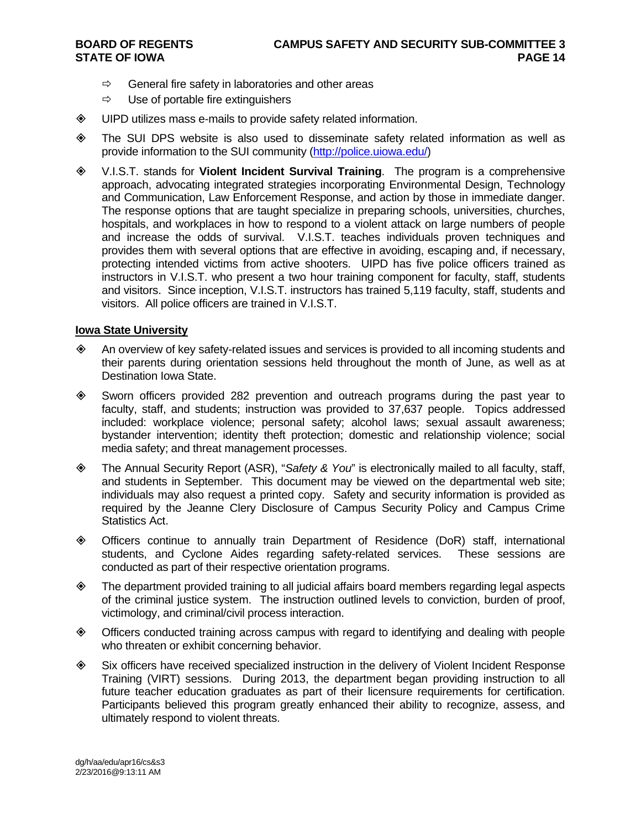- $\Rightarrow$  General fire safety in laboratories and other areas
- $\Rightarrow$  Use of portable fire extinguishers
- UIPD utilizes mass e-mails to provide safety related information.
- The SUI DPS website is also used to disseminate safety related information as well as provide information to the SUI community (http://police.uiowa.edu/)
- V.I.S.T. stands for **Violent Incident Survival Training**. The program is a comprehensive approach, advocating integrated strategies incorporating Environmental Design, Technology and Communication, Law Enforcement Response, and action by those in immediate danger. The response options that are taught specialize in preparing schools, universities, churches, hospitals, and workplaces in how to respond to a violent attack on large numbers of people and increase the odds of survival. V.I.S.T. teaches individuals proven techniques and provides them with several options that are effective in avoiding, escaping and, if necessary, protecting intended victims from active shooters. UIPD has five police officers trained as instructors in V.I.S.T. who present a two hour training component for faculty, staff, students and visitors. Since inception, V.I.S.T. instructors has trained 5,119 faculty, staff, students and visitors. All police officers are trained in V.I.S.T.

# **Iowa State University**

- An overview of key safety-related issues and services is provided to all incoming students and their parents during orientation sessions held throughout the month of June, as well as at Destination Iowa State.
- Sworn officers provided 282 prevention and outreach programs during the past year to faculty, staff, and students; instruction was provided to 37,637 people. Topics addressed included: workplace violence; personal safety; alcohol laws; sexual assault awareness; bystander intervention; identity theft protection; domestic and relationship violence; social media safety; and threat management processes.
- The Annual Security Report (ASR), "*Safety & You*" is electronically mailed to all faculty, staff, and students in September. This document may be viewed on the departmental web site; individuals may also request a printed copy. Safety and security information is provided as required by the Jeanne Clery Disclosure of Campus Security Policy and Campus Crime Statistics Act.
- Officers continue to annually train Department of Residence (DoR) staff, international students, and Cyclone Aides regarding safety-related services. These sessions are conducted as part of their respective orientation programs.
- The department provided training to all judicial affairs board members regarding legal aspects of the criminal justice system. The instruction outlined levels to conviction, burden of proof, victimology, and criminal/civil process interaction.
- Officers conducted training across campus with regard to identifying and dealing with people who threaten or exhibit concerning behavior.
- $\diamond$  Six officers have received specialized instruction in the delivery of Violent Incident Response Training (VIRT) sessions. During 2013, the department began providing instruction to all future teacher education graduates as part of their licensure requirements for certification. Participants believed this program greatly enhanced their ability to recognize, assess, and ultimately respond to violent threats.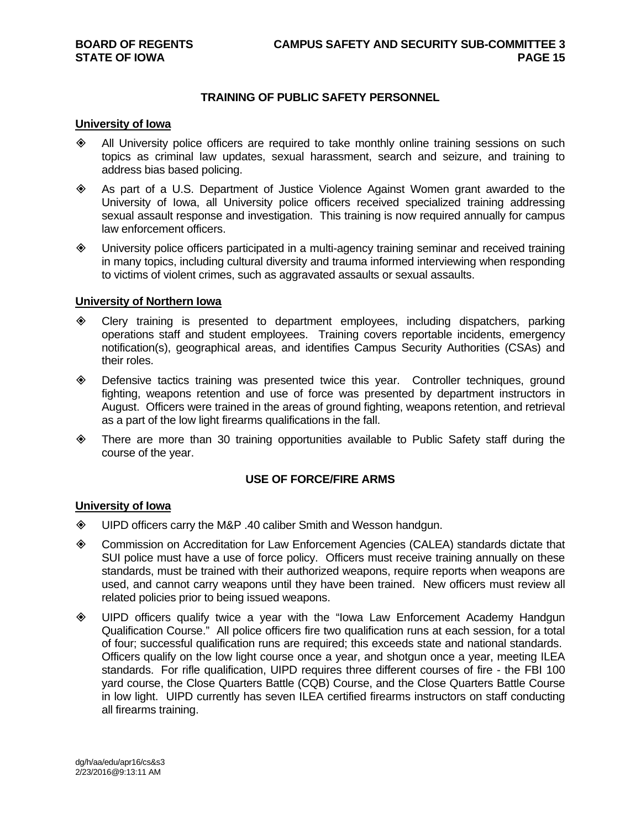# **TRAINING OF PUBLIC SAFETY PERSONNEL**

# **University of Iowa**

- All University police officers are required to take monthly online training sessions on such topics as criminal law updates, sexual harassment, search and seizure, and training to address bias based policing.
- As part of a U.S. Department of Justice Violence Against Women grant awarded to the University of Iowa, all University police officers received specialized training addressing sexual assault response and investigation. This training is now required annually for campus law enforcement officers.
- University police officers participated in a multi-agency training seminar and received training in many topics, including cultural diversity and trauma informed interviewing when responding to victims of violent crimes, such as aggravated assaults or sexual assaults.

## **University of Northern Iowa**

- Clery training is presented to department employees, including dispatchers, parking operations staff and student employees. Training covers reportable incidents, emergency notification(s), geographical areas, and identifies Campus Security Authorities (CSAs) and their roles.
- Defensive tactics training was presented twice this year. Controller techniques, ground fighting, weapons retention and use of force was presented by department instructors in August. Officers were trained in the areas of ground fighting, weapons retention, and retrieval as a part of the low light firearms qualifications in the fall.
- There are more than 30 training opportunities available to Public Safety staff during the course of the year.

# **USE OF FORCE/FIRE ARMS**

## **University of Iowa**

- UIPD officers carry the M&P .40 caliber Smith and Wesson handgun.
- Commission on Accreditation for Law Enforcement Agencies (CALEA) standards dictate that SUI police must have a use of force policy. Officers must receive training annually on these standards, must be trained with their authorized weapons, require reports when weapons are used, and cannot carry weapons until they have been trained. New officers must review all related policies prior to being issued weapons.
- UIPD officers qualify twice a year with the "Iowa Law Enforcement Academy Handgun Qualification Course." All police officers fire two qualification runs at each session, for a total of four; successful qualification runs are required; this exceeds state and national standards. Officers qualify on the low light course once a year, and shotgun once a year, meeting ILEA standards. For rifle qualification, UIPD requires three different courses of fire - the FBI 100 yard course, the Close Quarters Battle (CQB) Course, and the Close Quarters Battle Course in low light. UIPD currently has seven ILEA certified firearms instructors on staff conducting all firearms training.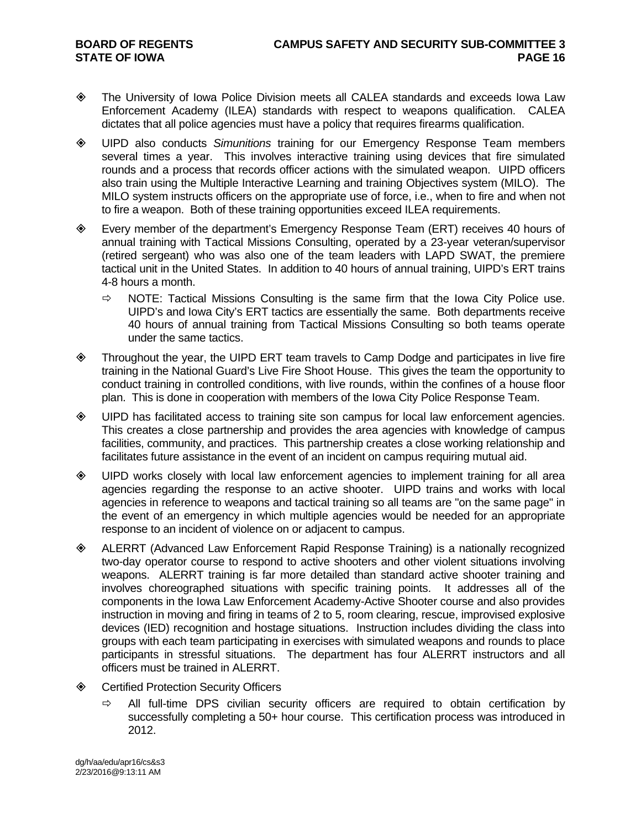- The University of Iowa Police Division meets all CALEA standards and exceeds Iowa Law Enforcement Academy (ILEA) standards with respect to weapons qualification. CALEA dictates that all police agencies must have a policy that requires firearms qualification.
- UIPD also conducts *Simunitions* training for our Emergency Response Team members several times a year. This involves interactive training using devices that fire simulated rounds and a process that records officer actions with the simulated weapon. UIPD officers also train using the Multiple Interactive Learning and training Objectives system (MILO). The MILO system instructs officers on the appropriate use of force, i.e., when to fire and when not to fire a weapon. Both of these training opportunities exceed ILEA requirements.
- Every member of the department's Emergency Response Team (ERT) receives 40 hours of annual training with Tactical Missions Consulting, operated by a 23-year veteran/supervisor (retired sergeant) who was also one of the team leaders with LAPD SWAT, the premiere tactical unit in the United States. In addition to 40 hours of annual training, UIPD's ERT trains 4-8 hours a month.
	- $\Rightarrow$  NOTE: Tactical Missions Consulting is the same firm that the lowa City Police use. UIPD's and Iowa City's ERT tactics are essentially the same. Both departments receive 40 hours of annual training from Tactical Missions Consulting so both teams operate under the same tactics.
- Throughout the year, the UIPD ERT team travels to Camp Dodge and participates in live fire training in the National Guard's Live Fire Shoot House. This gives the team the opportunity to conduct training in controlled conditions, with live rounds, within the confines of a house floor plan. This is done in cooperation with members of the Iowa City Police Response Team.
- UIPD has facilitated access to training site son campus for local law enforcement agencies. This creates a close partnership and provides the area agencies with knowledge of campus facilities, community, and practices. This partnership creates a close working relationship and facilitates future assistance in the event of an incident on campus requiring mutual aid.
- UIPD works closely with local law enforcement agencies to implement training for all area agencies regarding the response to an active shooter. UIPD trains and works with local agencies in reference to weapons and tactical training so all teams are "on the same page" in the event of an emergency in which multiple agencies would be needed for an appropriate response to an incident of violence on or adjacent to campus.
- ALERRT (Advanced Law Enforcement Rapid Response Training) is a nationally recognized two-day operator course to respond to active shooters and other violent situations involving weapons. ALERRT training is far more detailed than standard active shooter training and involves choreographed situations with specific training points. It addresses all of the components in the Iowa Law Enforcement Academy-Active Shooter course and also provides instruction in moving and firing in teams of 2 to 5, room clearing, rescue, improvised explosive devices (IED) recognition and hostage situations. Instruction includes dividing the class into groups with each team participating in exercises with simulated weapons and rounds to place participants in stressful situations. The department has four ALERRT instructors and all officers must be trained in ALERRT.
- **♦ Certified Protection Security Officers** 
	- $\Rightarrow$  All full-time DPS civilian security officers are required to obtain certification by successfully completing a 50+ hour course. This certification process was introduced in 2012.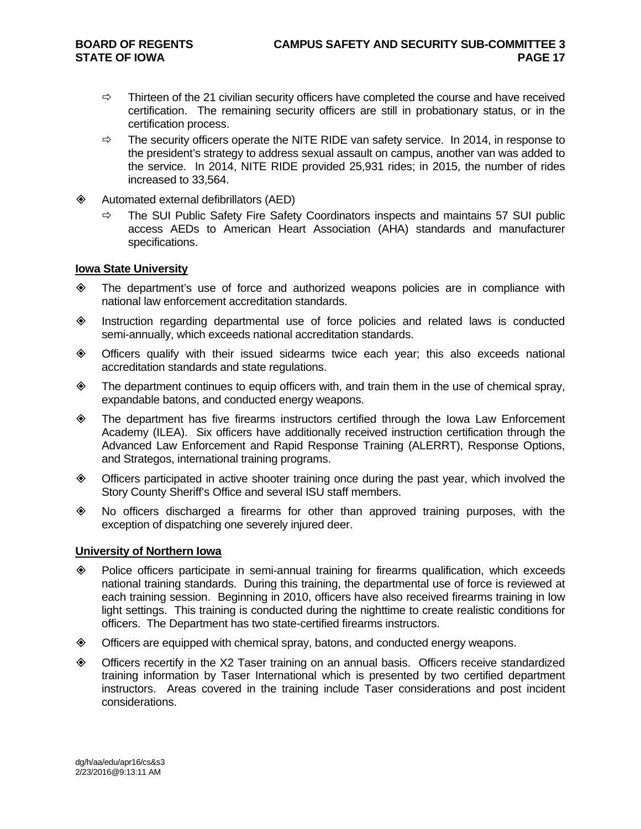- $\Rightarrow$  Thirteen of the 21 civilian security officers have completed the course and have received certification. The remaining security officers are still in probationary status, or in the certification process.
- $\Rightarrow$  The security officers operate the NITE RIDE van safety service. In 2014, in response to the president's strategy to address sexual assault on campus, another van was added to the service. In 2014, NITE RIDE provided 25,931 rides; in 2015, the number of rides increased to 33,564.
- Automated external defibrillators (AED)
	- $\Rightarrow$  The SUI Public Safety Fire Safety Coordinators inspects and maintains 57 SUI public access AEDs to American Heart Association (AHA) standards and manufacturer specifications.

#### **Iowa State University**

- The department's use of force and authorized weapons policies are in compliance with national law enforcement accreditation standards.
- Instruction regarding departmental use of force policies and related laws is conducted semi-annually, which exceeds national accreditation standards.
- Officers qualify with their issued sidearms twice each year; this also exceeds national accreditation standards and state regulations.
- $\diamond$  The department continues to equip officers with, and train them in the use of chemical spray, expandable batons, and conducted energy weapons.
- The department has five firearms instructors certified through the Iowa Law Enforcement Academy (ILEA). Six officers have additionally received instruction certification through the Advanced Law Enforcement and Rapid Response Training (ALERRT), Response Options, and Strategos, international training programs.
- Officers participated in active shooter training once during the past year, which involved the Story County Sheriff's Office and several ISU staff members.
- $\diamond$  No officers discharged a firearms for other than approved training purposes, with the exception of dispatching one severely injured deer.

#### **University of Northern Iowa**

- Police officers participate in semi-annual training for firearms qualification, which exceeds national training standards. During this training, the departmental use of force is reviewed at each training session. Beginning in 2010, officers have also received firearms training in low light settings. This training is conducted during the nighttime to create realistic conditions for officers. The Department has two state-certified firearms instructors.
- Officers are equipped with chemical spray, batons, and conducted energy weapons.
- Officers recertify in the X2 Taser training on an annual basis. Officers receive standardized training information by Taser International which is presented by two certified department instructors. Areas covered in the training include Taser considerations and post incident considerations.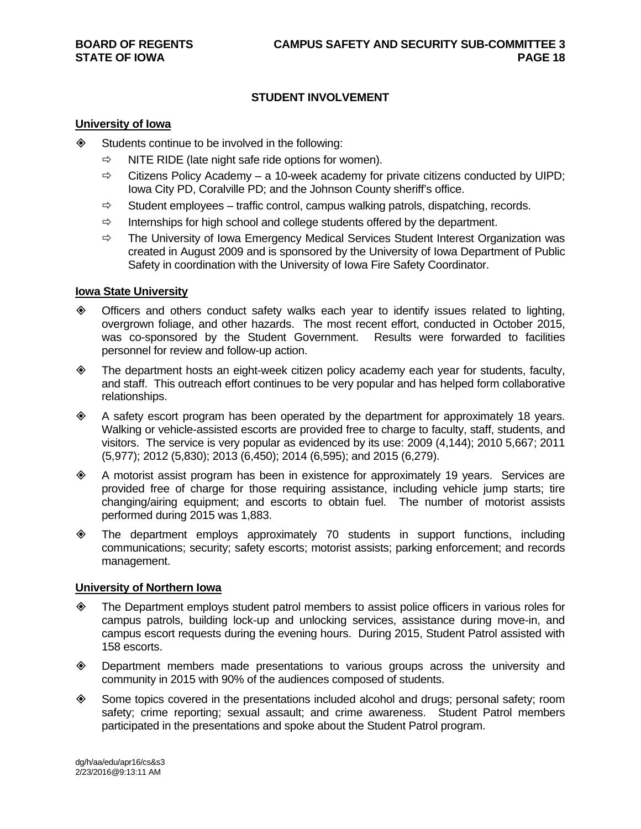# **STUDENT INVOLVEMENT**

#### **University of Iowa**

- $\diamond$  Students continue to be involved in the following:
	- $\Rightarrow$  NITE RIDE (late night safe ride options for women).
	- $\Rightarrow$  Citizens Policy Academy a 10-week academy for private citizens conducted by UIPD; Iowa City PD, Coralville PD; and the Johnson County sheriff's office.
	- $\Rightarrow$  Student employees traffic control, campus walking patrols, dispatching, records.
	- $\Rightarrow$  Internships for high school and college students offered by the department.
	- $\Rightarrow$  The University of Iowa Emergency Medical Services Student Interest Organization was created in August 2009 and is sponsored by the University of Iowa Department of Public Safety in coordination with the University of Iowa Fire Safety Coordinator.

#### **Iowa State University**

- Officers and others conduct safety walks each year to identify issues related to lighting, overgrown foliage, and other hazards. The most recent effort, conducted in October 2015, was co-sponsored by the Student Government. Results were forwarded to facilities personnel for review and follow-up action.
- The department hosts an eight-week citizen policy academy each year for students, faculty, and staff. This outreach effort continues to be very popular and has helped form collaborative relationships.
- $\diamond$  A safety escort program has been operated by the department for approximately 18 years. Walking or vehicle-assisted escorts are provided free to charge to faculty, staff, students, and visitors. The service is very popular as evidenced by its use: 2009 (4,144); 2010 5,667; 2011 (5,977); 2012 (5,830); 2013 (6,450); 2014 (6,595); and 2015 (6,279).
- A motorist assist program has been in existence for approximately 19 years. Services are provided free of charge for those requiring assistance, including vehicle jump starts; tire changing/airing equipment; and escorts to obtain fuel. The number of motorist assists performed during 2015 was 1,883.
- The department employs approximately 70 students in support functions, including communications; security; safety escorts; motorist assists; parking enforcement; and records management.

## **University of Northern Iowa**

- The Department employs student patrol members to assist police officers in various roles for campus patrols, building lock-up and unlocking services, assistance during move-in, and campus escort requests during the evening hours. During 2015, Student Patrol assisted with 158 escorts.
- Department members made presentations to various groups across the university and community in 2015 with 90% of the audiences composed of students.
- $\diamond$  Some topics covered in the presentations included alcohol and drugs; personal safety; room safety; crime reporting; sexual assault; and crime awareness. Student Patrol members participated in the presentations and spoke about the Student Patrol program.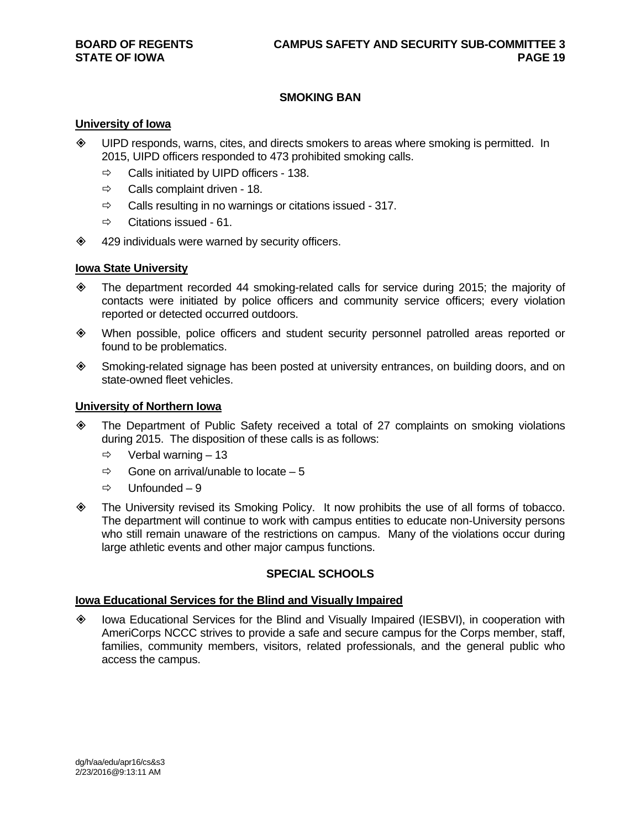# **SMOKING BAN**

# **University of Iowa**

- UIPD responds, warns, cites, and directs smokers to areas where smoking is permitted. In 2015, UIPD officers responded to 473 prohibited smoking calls.
	- $\Rightarrow$  Calls initiated by UIPD officers 138.
	- $\Rightarrow$  Calls complaint driven 18.
	- $\Rightarrow$  Calls resulting in no warnings or citations issued 317.
	- $\Rightarrow$  Citations issued 61.
- $\textcircled{429}$  individuals were warned by security officers.

#### **Iowa State University**

- The department recorded 44 smoking-related calls for service during 2015; the majority of contacts were initiated by police officers and community service officers; every violation reported or detected occurred outdoors.
- When possible, police officers and student security personnel patrolled areas reported or found to be problematics.
- Smoking-related signage has been posted at university entrances, on building doors, and on state-owned fleet vehicles.

#### **University of Northern Iowa**

- The Department of Public Safety received a total of 27 complaints on smoking violations during 2015. The disposition of these calls is as follows:
	- $\Rightarrow$  Verbal warning 13
	- $\Rightarrow$  Gone on arrival/unable to locate 5
	- $\Rightarrow$  Unfounded 9
- The University revised its Smoking Policy. It now prohibits the use of all forms of tobacco. The department will continue to work with campus entities to educate non-University persons who still remain unaware of the restrictions on campus. Many of the violations occur during large athletic events and other major campus functions.

## **SPECIAL SCHOOLS**

#### **Iowa Educational Services for the Blind and Visually Impaired**

 Iowa Educational Services for the Blind and Visually Impaired (IESBVI), in cooperation with AmeriCorps NCCC strives to provide a safe and secure campus for the Corps member, staff, families, community members, visitors, related professionals, and the general public who access the campus.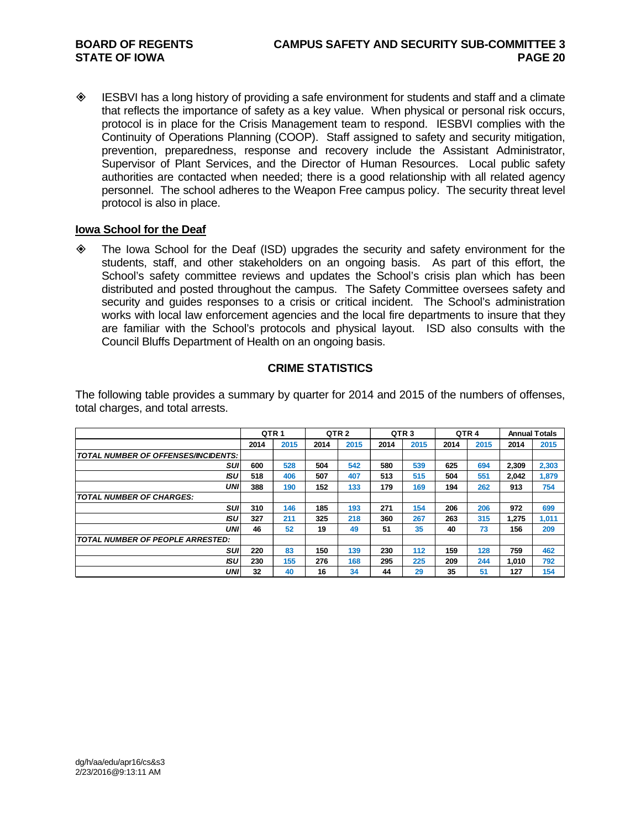♦ IESBVI has a long history of providing a safe environment for students and staff and a climate that reflects the importance of safety as a key value. When physical or personal risk occurs, protocol is in place for the Crisis Management team to respond. IESBVI complies with the Continuity of Operations Planning (COOP). Staff assigned to safety and security mitigation, prevention, preparedness, response and recovery include the Assistant Administrator, Supervisor of Plant Services, and the Director of Human Resources. Local public safety authorities are contacted when needed; there is a good relationship with all related agency personnel. The school adheres to the Weapon Free campus policy. The security threat level protocol is also in place.

## **Iowa School for the Deaf**

 The Iowa School for the Deaf (ISD) upgrades the security and safety environment for the students, staff, and other stakeholders on an ongoing basis. As part of this effort, the School's safety committee reviews and updates the School's crisis plan which has been distributed and posted throughout the campus. The Safety Committee oversees safety and security and guides responses to a crisis or critical incident. The School's administration works with local law enforcement agencies and the local fire departments to insure that they are familiar with the School's protocols and physical layout. ISD also consults with the Council Bluffs Department of Health on an ongoing basis.

## **CRIME STATISTICS**

The following table provides a summary by quarter for 2014 and 2015 of the numbers of offenses, total charges, and total arrests.

|                                            | QTR <sub>1</sub> |      |      | QTR <sub>2</sub> | QTR <sub>3</sub> |      | QTR <sub>4</sub> |      |       | <b>Annual Totals</b> |
|--------------------------------------------|------------------|------|------|------------------|------------------|------|------------------|------|-------|----------------------|
|                                            | 2014             | 2015 | 2014 | 2015             | 2014             | 2015 | 2014             | 2015 | 2014  | 2015                 |
| <b>TOTAL NUMBER OF OFFENSES/INCIDENTS:</b> |                  |      |      |                  |                  |      |                  |      |       |                      |
| suı                                        | 600              | 528  | 504  | 542              | 580              | 539  | 625              | 694  | 2.309 | 2,303                |
| ISU                                        | 518              | 406  | 507  | 407              | 513              | 515  | 504              | 551  | 2,042 | 1,879                |
| UNI                                        | 388              | 190  | 152  | 133              | 179              | 169  | 194              | 262  | 913   | 754                  |
| <b>TOTAL NUMBER OF CHARGES:</b>            |                  |      |      |                  |                  |      |                  |      |       |                      |
| SUI                                        | 310              | 146  | 185  | 193              | 271              | 154  | 206              | 206  | 972   | 699                  |
| ISU                                        | 327              | 211  | 325  | 218              | 360              | 267  | 263              | 315  | 1.275 | 1,011                |
| UNI                                        | 46               | 52   | 19   | 49               | 51               | 35   | 40               | 73   | 156   | 209                  |
| <b>TOTAL NUMBER OF PEOPLE ARRESTED:</b>    |                  |      |      |                  |                  |      |                  |      |       |                      |
| SUI                                        | 220              | 83   | 150  | 139              | 230              | 112  | 159              | 128  | 759   | 462                  |
| ISU                                        | 230              | 155  | 276  | 168              | 295              | 225  | 209              | 244  | 1,010 | 792                  |
| UNI                                        | 32               | 40   | 16   | 34               | 44               | 29   | 35               | 51   | 127   | 154                  |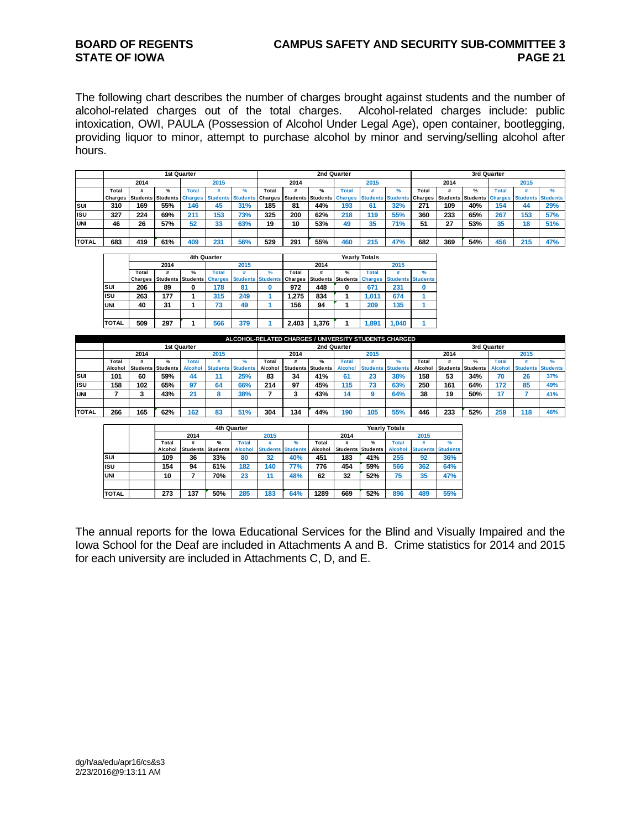## **BOARD OF REGENTS CAMPUS SAFETY AND SECURITY SUB-COMMITTEE 3 STATE OF IOWA PAGE 21**

The following chart describes the number of charges brought against students and the number of alcohol-related charges out of the total charges. Alcohol-related charges include: public intoxication, OWI, PAULA (Possession of Alcohol Under Legal Age), open container, bootlegging, providing liquor to minor, attempt to purchase alcohol by minor and serving/selling alcohol after hours.

|              |         |      |                                             | 1st Quarter  |              |     |         |      |                                             | 2nd Quarter  |      |     |       |      |                                          | 3rd Quarter  |      |                          |
|--------------|---------|------|---------------------------------------------|--------------|--------------|-----|---------|------|---------------------------------------------|--------------|------|-----|-------|------|------------------------------------------|--------------|------|--------------------------|
|              |         | 2014 |                                             |              | 2015         |     |         | 2014 |                                             |              | 2015 |     |       | 2014 |                                          |              | 2015 |                          |
|              | Total   |      | $\%$                                        | <b>Total</b> |              |     | Total   |      | ℀                                           | <b>Total</b> |      |     | Total |      | $\frac{9}{6}$                            | <b>Total</b> |      |                          |
|              | Charges |      | Students Students Charges Students Students |              |              |     | Charges |      | Students Students Charges Students Students |              |      |     |       |      | <b>Charges Students Students Charges</b> |              |      | <b>Students Students</b> |
| lsuı         | 310     | 169  | 55%                                         | 46           | 45           | 31% | 185     | 81   | 44%                                         | 193          | 61   | 32% | 271   | 109  | 40%                                      | 154          | 44   | 29%                      |
| lisu         | 327     | 224  | 69%                                         | 211          | 153          | 73% | 325     | 200  | 62%                                         | 218          | 119  | 55% | 360   | 233  | 65%                                      | 267          | 153  | 57%                      |
| <b>IUNI</b>  | 46      | 26   | 57%                                         | 52           | 33           | 63% | 19      | 10   | 53%                                         | 49           | 35   | 71% | 51    | 27   | 53%                                      | 35           | 18   | 51%                      |
|              |         |      |                                             |              |              |     |         |      |                                             |              |      |     |       |      |                                          |              |      |                          |
| <b>TOTAL</b> | 683     | 419  | 61%                                         | 409          | $23^{\circ}$ | 56% | 529     | 291  | 55%                                         | 460          | 215  | 17% | 682   | 369  | 54%                                      | 456          | 215  | 47%                      |

|              |         |      |                                  | 4th Quarter |                          |   |         |       |                                  | <b>Yearly Totals</b> |       |                          |
|--------------|---------|------|----------------------------------|-------------|--------------------------|---|---------|-------|----------------------------------|----------------------|-------|--------------------------|
|              |         | 2014 |                                  |             | 2015                     |   |         | 2014  |                                  |                      | 2015  |                          |
|              | Total   | #    | %                                | Total       |                          | ℀ | Total   | #     | %                                | <b>Total</b>         |       | ℀                        |
|              | Charges |      | <b>Students Students Charges</b> |             | <b>Students Students</b> |   | Charges |       | <b>Students Students Charges</b> |                      |       | <b>Students Students</b> |
| lsuı         | 206     | 89   | 0                                | 178         | 81                       | 0 | 972     | 448   | 0                                | 671                  | 231   |                          |
| lısu         | 263     | 177  |                                  | 315         | 249                      |   | 1.275   | 834   |                                  | 1,011                | 674   |                          |
| <b>JUNI</b>  | 40      | 31   |                                  | 73          | 49                       |   | 156     | 94    |                                  | 209                  | 135   |                          |
|              |         |      |                                  |             |                          |   |         |       |                                  |                      |       |                          |
| <b>TOTAL</b> | 509     | 297  |                                  | 566         | 379                      |   | 2.403   | 1,376 |                                  | 1.891                | 1.040 |                          |

|               |         |      |                          |                |                   |     |                                                       |      | ALCOHOL-RELATED CHARGES / UNIVERSITY STUDENTS CHARGED |      |      |                   |         |      |                          |         |      |                          |
|---------------|---------|------|--------------------------|----------------|-------------------|-----|-------------------------------------------------------|------|-------------------------------------------------------|------|------|-------------------|---------|------|--------------------------|---------|------|--------------------------|
|               |         |      |                          | 1st Quarter    |                   |     |                                                       |      | 2nd Quarter                                           |      |      |                   |         |      | 3rd Quarter              |         |      |                          |
|               |         | 2014 |                          |                | 2015              |     |                                                       | 2014 |                                                       |      | 2015 |                   |         | 2014 |                          |         | 2015 |                          |
|               | Total   |      | %                        | Total          |                   |     | Total                                                 |      |                                                       | Гоtа |      |                   | Total   |      |                          | Total   |      |                          |
|               | Alcohol |      | <b>Students Students</b> | <b>Alcohol</b> | Students Students |     | Alcohol<br><b>Students Students</b><br><b>Alcohol</b> |      |                                                       |      |      | Students Students | Alcohol |      | <b>Students Students</b> | Alcohol |      | <b>Students Students</b> |
| Isui          | 101     | 60   | 59%                      | 44             |                   | 25% | 83                                                    | 34   | 41%                                                   | 61   | 23   | 38%               | 158     | 53   | 34%                      | 70      | 26   | 37%                      |
| lısu          | 158     | 102  | 65%                      | 97             | 64                | 66% | 214                                                   | 97   | 45%                                                   | 115  | 73   | 63%               | 250     | 161  | 64%                      | 172     | 85   | 49%                      |
| <b>IUNI</b>   |         |      | 43%                      | 21             |                   | 38% |                                                       |      | 43%                                                   | 14   |      | 64%               | 38      | 19   | 50%                      |         |      | 41%                      |
|               |         |      |                          |                |                   |     |                                                       |      |                                                       |      |      |                   |         |      |                          |         |      |                          |
| <b>ITOTAL</b> | 266     | 165  | 62%                      | 62             | 83                | 51% | 304                                                   | 134  | 44%                                                   | 190  | 105  | 55%               | 446     | 233  | 52%                      | 259     | 118  | 46%                      |

|              |         |      |                          | 4th Quarter    |                          |     |         |                 |                 | <b>Yearly Totals</b> |                          |               |
|--------------|---------|------|--------------------------|----------------|--------------------------|-----|---------|-----------------|-----------------|----------------------|--------------------------|---------------|
|              |         | 2014 |                          |                | 2015                     |     |         | 2014            |                 |                      | 2015                     |               |
|              | Total   | #    | $\frac{9}{6}$            | Total          |                          | %   | Total   | #               | $\frac{9}{6}$   | <b>Total</b>         |                          | $\frac{9}{6}$ |
|              | Alcohol |      | <b>Students Students</b> | <b>Alcohol</b> | <b>Students Students</b> |     | Alcohol | <b>Students</b> | <b>Students</b> | <b>Alcohol</b>       | <b>Students Students</b> |               |
| SUI          | 109     | 36   | 33%                      | 80             | 32                       | 40% | 451     | 183             | 41%             | 255                  | 92                       | 36%           |
| <b>ISU</b>   | 154     | 94   | 61%                      | 182            | 140                      | 77% | 776     | 454             | 59%             | 566                  | 362                      | 64%           |
| <b>UNI</b>   | 10      |      | 70%                      | 23             | 44                       | 48% | 62      | 32              | 52%             | 75                   | 35                       | 47%           |
|              |         |      |                          |                |                          |     |         |                 |                 |                      |                          |               |
| <b>TOTAL</b> | 273     | 137  | 50%                      | 285            | 183                      | 64% | 1289    | 669             | 52%             | 896                  | 489                      | 55%           |

The annual reports for the Iowa Educational Services for the Blind and Visually Impaired and the Iowa School for the Deaf are included in Attachments A and B. Crime statistics for 2014 and 2015 for each university are included in Attachments C, D, and E.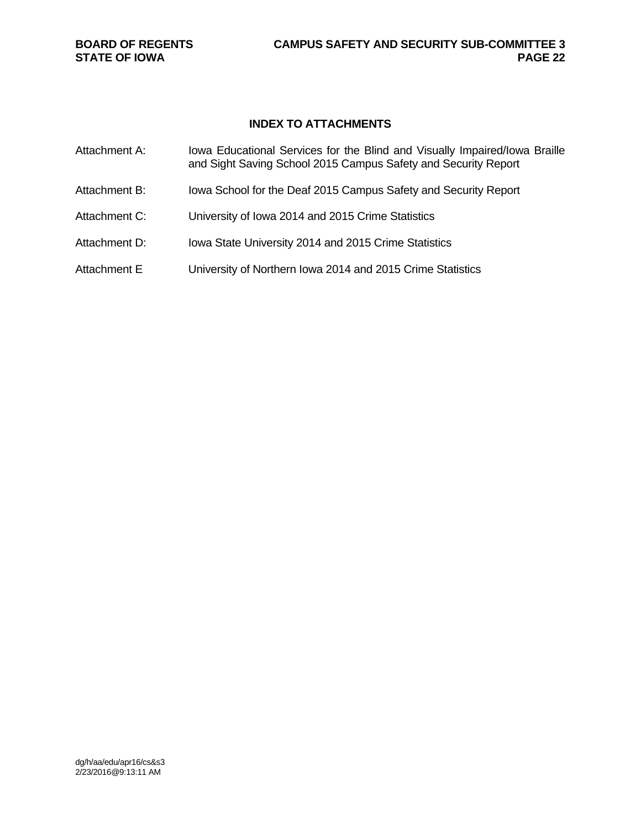**STATE OF IOWA** 

# **INDEX TO ATTACHMENTS**

| Attachment A:       | lowa Educational Services for the Blind and Visually Impaired/Iowa Braille<br>and Sight Saving School 2015 Campus Safety and Security Report |
|---------------------|----------------------------------------------------------------------------------------------------------------------------------------------|
| Attachment B:       | lowa School for the Deaf 2015 Campus Safety and Security Report                                                                              |
| Attachment C:       | University of Iowa 2014 and 2015 Crime Statistics                                                                                            |
| Attachment D:       | Iowa State University 2014 and 2015 Crime Statistics                                                                                         |
| <b>Attachment E</b> | University of Northern Iowa 2014 and 2015 Crime Statistics                                                                                   |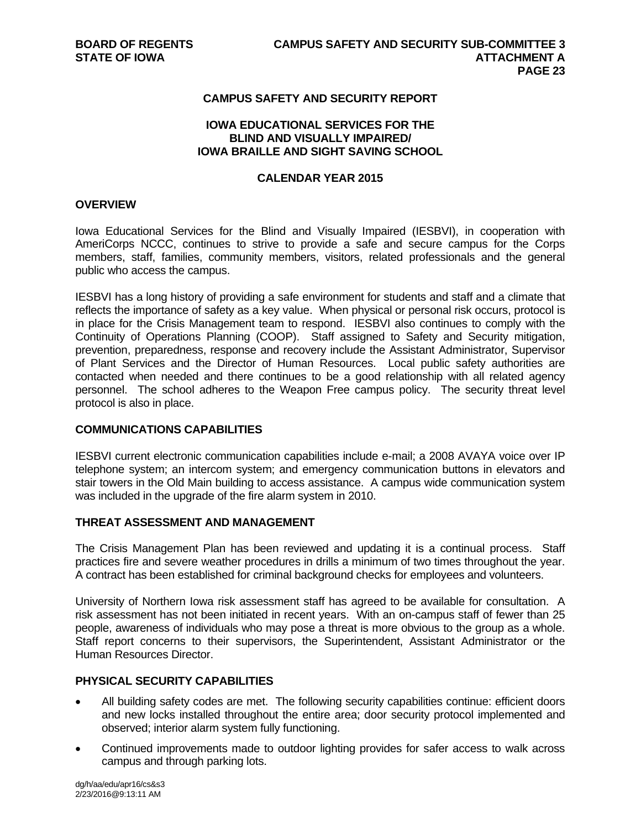# **CAMPUS SAFETY AND SECURITY REPORT**

# **IOWA EDUCATIONAL SERVICES FOR THE BLIND AND VISUALLY IMPAIRED/ IOWA BRAILLE AND SIGHT SAVING SCHOOL**

#### **CALENDAR YEAR 2015**

#### **OVERVIEW**

Iowa Educational Services for the Blind and Visually Impaired (IESBVI), in cooperation with AmeriCorps NCCC, continues to strive to provide a safe and secure campus for the Corps members, staff, families, community members, visitors, related professionals and the general public who access the campus.

IESBVI has a long history of providing a safe environment for students and staff and a climate that reflects the importance of safety as a key value. When physical or personal risk occurs, protocol is in place for the Crisis Management team to respond. IESBVI also continues to comply with the Continuity of Operations Planning (COOP). Staff assigned to Safety and Security mitigation, prevention, preparedness, response and recovery include the Assistant Administrator, Supervisor of Plant Services and the Director of Human Resources. Local public safety authorities are contacted when needed and there continues to be a good relationship with all related agency personnel. The school adheres to the Weapon Free campus policy. The security threat level protocol is also in place.

## **COMMUNICATIONS CAPABILITIES**

IESBVI current electronic communication capabilities include e-mail; a 2008 AVAYA voice over IP telephone system; an intercom system; and emergency communication buttons in elevators and stair towers in the Old Main building to access assistance. A campus wide communication system was included in the upgrade of the fire alarm system in 2010.

## **THREAT ASSESSMENT AND MANAGEMENT**

The Crisis Management Plan has been reviewed and updating it is a continual process. Staff practices fire and severe weather procedures in drills a minimum of two times throughout the year. A contract has been established for criminal background checks for employees and volunteers.

University of Northern Iowa risk assessment staff has agreed to be available for consultation. A risk assessment has not been initiated in recent years. With an on-campus staff of fewer than 25 people, awareness of individuals who may pose a threat is more obvious to the group as a whole. Staff report concerns to their supervisors, the Superintendent, Assistant Administrator or the Human Resources Director.

# **PHYSICAL SECURITY CAPABILITIES**

- All building safety codes are met. The following security capabilities continue: efficient doors and new locks installed throughout the entire area; door security protocol implemented and observed; interior alarm system fully functioning.
- Continued improvements made to outdoor lighting provides for safer access to walk across campus and through parking lots.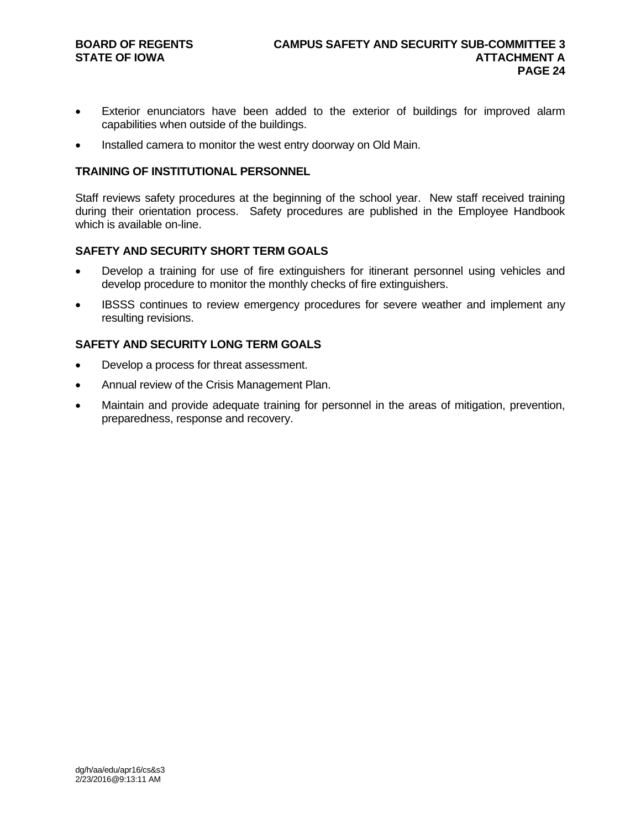- Exterior enunciators have been added to the exterior of buildings for improved alarm capabilities when outside of the buildings.
- Installed camera to monitor the west entry doorway on Old Main.

#### **TRAINING OF INSTITUTIONAL PERSONNEL**

Staff reviews safety procedures at the beginning of the school year. New staff received training during their orientation process. Safety procedures are published in the Employee Handbook which is available on-line.

# **SAFETY AND SECURITY SHORT TERM GOALS**

- Develop a training for use of fire extinguishers for itinerant personnel using vehicles and develop procedure to monitor the monthly checks of fire extinguishers.
- IBSSS continues to review emergency procedures for severe weather and implement any resulting revisions.

## **SAFETY AND SECURITY LONG TERM GOALS**

- Develop a process for threat assessment.
- Annual review of the Crisis Management Plan.
- Maintain and provide adequate training for personnel in the areas of mitigation, prevention, preparedness, response and recovery.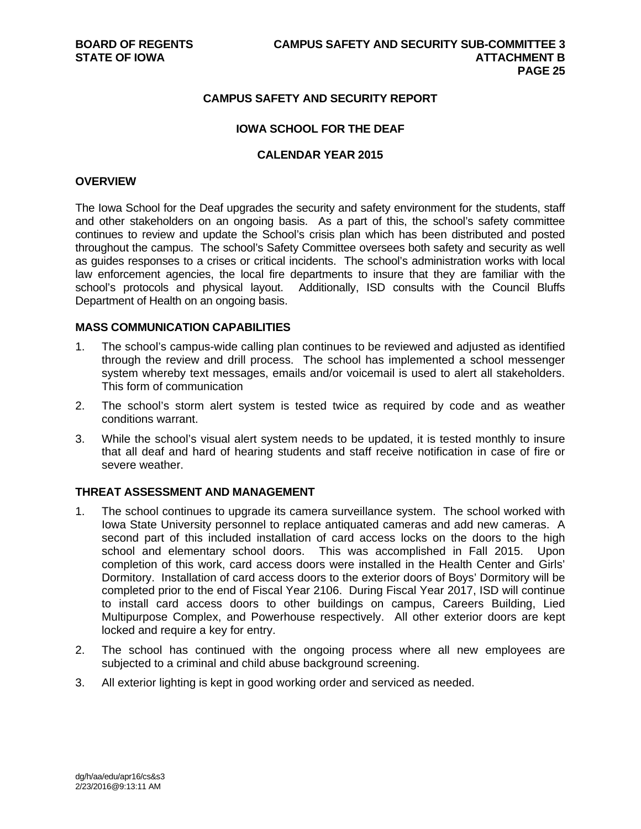# **CAMPUS SAFETY AND SECURITY REPORT**

# **IOWA SCHOOL FOR THE DEAF**

#### **CALENDAR YEAR 2015**

#### **OVERVIEW**

The Iowa School for the Deaf upgrades the security and safety environment for the students, staff and other stakeholders on an ongoing basis. As a part of this, the school's safety committee continues to review and update the School's crisis plan which has been distributed and posted throughout the campus. The school's Safety Committee oversees both safety and security as well as guides responses to a crises or critical incidents. The school's administration works with local law enforcement agencies, the local fire departments to insure that they are familiar with the school's protocols and physical layout. Additionally, ISD consults with the Council Bluffs Department of Health on an ongoing basis.

## **MASS COMMUNICATION CAPABILITIES**

- 1. The school's campus-wide calling plan continues to be reviewed and adjusted as identified through the review and drill process. The school has implemented a school messenger system whereby text messages, emails and/or voicemail is used to alert all stakeholders. This form of communication
- 2. The school's storm alert system is tested twice as required by code and as weather conditions warrant.
- 3. While the school's visual alert system needs to be updated, it is tested monthly to insure that all deaf and hard of hearing students and staff receive notification in case of fire or severe weather.

## **THREAT ASSESSMENT AND MANAGEMENT**

- 1. The school continues to upgrade its camera surveillance system. The school worked with Iowa State University personnel to replace antiquated cameras and add new cameras. A second part of this included installation of card access locks on the doors to the high school and elementary school doors. This was accomplished in Fall 2015. Upon completion of this work, card access doors were installed in the Health Center and Girls' Dormitory. Installation of card access doors to the exterior doors of Boys' Dormitory will be completed prior to the end of Fiscal Year 2106. During Fiscal Year 2017, ISD will continue to install card access doors to other buildings on campus, Careers Building, Lied Multipurpose Complex, and Powerhouse respectively. All other exterior doors are kept locked and require a key for entry.
- 2. The school has continued with the ongoing process where all new employees are subjected to a criminal and child abuse background screening.
- 3. All exterior lighting is kept in good working order and serviced as needed.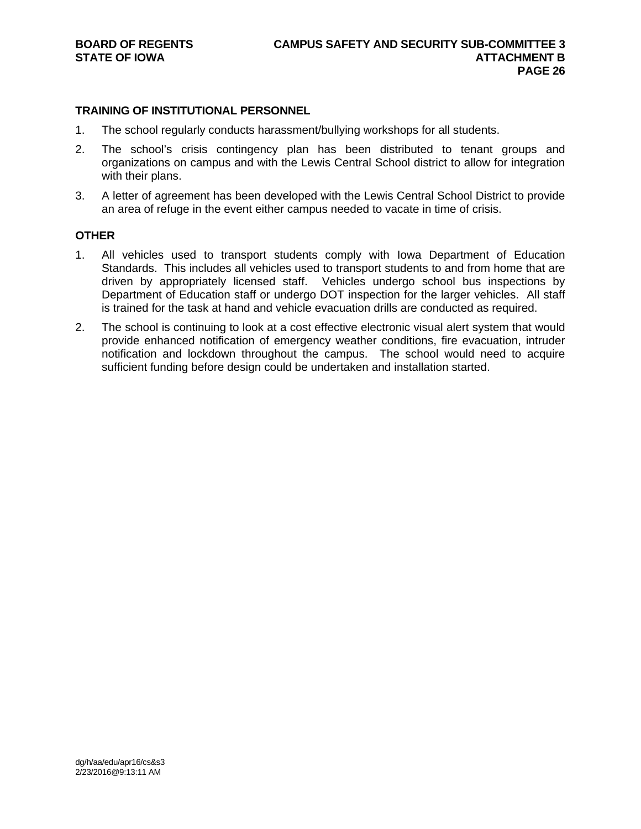## **TRAINING OF INSTITUTIONAL PERSONNEL**

- 1. The school regularly conducts harassment/bullying workshops for all students.
- 2. The school's crisis contingency plan has been distributed to tenant groups and organizations on campus and with the Lewis Central School district to allow for integration with their plans.
- 3. A letter of agreement has been developed with the Lewis Central School District to provide an area of refuge in the event either campus needed to vacate in time of crisis.

## **OTHER**

- 1. All vehicles used to transport students comply with Iowa Department of Education Standards. This includes all vehicles used to transport students to and from home that are driven by appropriately licensed staff. Vehicles undergo school bus inspections by Department of Education staff or undergo DOT inspection for the larger vehicles. All staff is trained for the task at hand and vehicle evacuation drills are conducted as required.
- 2. The school is continuing to look at a cost effective electronic visual alert system that would provide enhanced notification of emergency weather conditions, fire evacuation, intruder notification and lockdown throughout the campus. The school would need to acquire sufficient funding before design could be undertaken and installation started.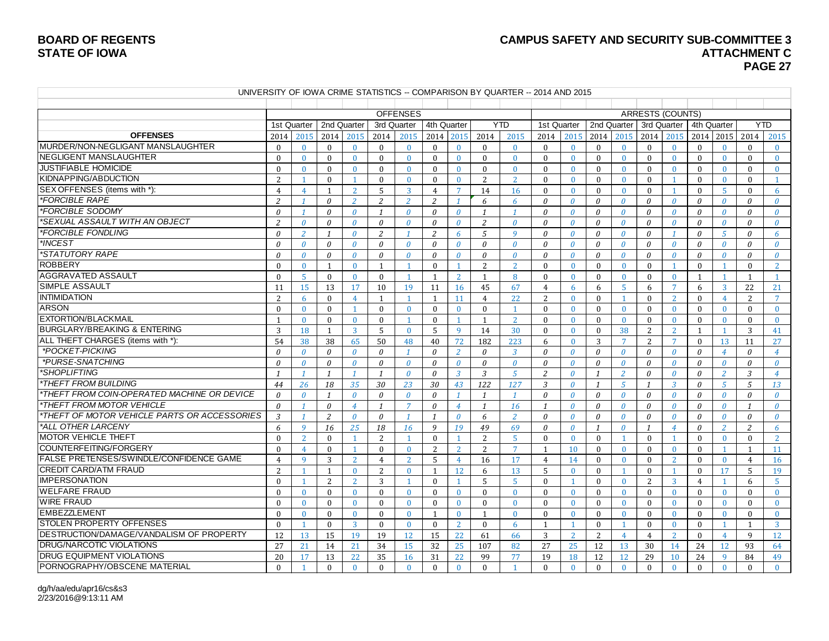#### **BOARD OF REGENTS CAMPUS SAFETY AND SECURITY SUB-COMMITTEE 3 STATE OF IOWA ATTACHMENT C PAGE 27**

|                                              |                |                |              |                       |                |                      |                |                 |                | UNIVERSITT OF IOWA URINE STATISTICS -- COMPARISON DT QUARTER -- 2014 AND 2013 |                |                |              |                 |              |                         |                |                |                |                       |
|----------------------------------------------|----------------|----------------|--------------|-----------------------|----------------|----------------------|----------------|-----------------|----------------|-------------------------------------------------------------------------------|----------------|----------------|--------------|-----------------|--------------|-------------------------|----------------|----------------|----------------|-----------------------|
|                                              |                |                |              |                       |                | <b>OFFENSES</b>      |                |                 |                |                                                                               |                |                |              |                 |              | <b>ARRESTS (COUNTS)</b> |                |                |                |                       |
|                                              |                | 1st Quarter    |              | 2nd Quarter           |                | 3rd Quarter          |                | 4th Quarter     |                | <b>YTD</b>                                                                    | 1st Quarter    |                |              | 2nd Quarter     |              | 3rd Quarter             |                | 4th Quarter    |                | <b>YTD</b>            |
| <b>OFFENSES</b>                              | 2014           | 2015           | 2014         | 2015                  | 2014           | 2015                 |                | 2014 2015       | 2014           | 2015                                                                          | 2014           | 2015           | 2014         | 2015            | 2014         | 2015                    | 2014           | 2015           | 2014           | 2015                  |
| MURDER/NON-NEGLIGANT MANSLAUGHTER            | $\Omega$       | $\theta$       | $\theta$     | $\theta$              | $\theta$       | $\theta$             | $\Omega$       | $\mathbf{0}$    | $\theta$       | $\theta$                                                                      | $\Omega$       | $\theta$       | $\theta$     | $\mathbf{0}$    | $\Omega$     | $\mathbf{0}$            | $\theta$       | $\mathbf{0}$   | $\Omega$       | $\mathbf{0}$          |
| <b>NEGLIGENT MANSLAUGHTER</b>                | $\theta$       | $\theta$       | $\theta$     | $\theta$              | $\theta$       | $\theta$             | $\Omega$       | $\mathbf{0}$    | $\Omega$       | $\theta$                                                                      | $\theta$       | $\mathbf{0}$   | $\mathbf{0}$ | $\mathbf{0}$    | $\Omega$     | $\mathbf{0}$            | $\mathbf{0}$   | $\mathbf{0}$   | $\Omega$       | $\mathbf{0}$          |
| <b>JUSTIFIABLE HOMICIDE</b>                  | $\Omega$       | $\Omega$       | $\Omega$     | $\Omega$              | $\Omega$       | $\Omega$             | $\Omega$       | $\Omega$        | $\Omega$       | $\Omega$                                                                      | $\Omega$       | $\Omega$       | $\Omega$     | $\Omega$        | $\Omega$     | $\theta$                | $\Omega$       | $\Omega$       | $\Omega$       | $\mathbf{0}$          |
| KIDNAPPING/ABDUCTION                         | 2              |                | $\theta$     |                       | $\theta$       | $\mathbf{0}$         | $\Omega$       | $\bf{0}$        | $\overline{2}$ | $\overline{2}$                                                                | $\theta$       | $\theta$       | $\mathbf{0}$ | $\mathbf{0}$    | $\mathbf{0}$ | $\mathbf{1}$            | $\mathbf{0}$   | $\mathbf{0}$   | $\Omega$       |                       |
| SEX OFFENSES (items with *):                 | $\overline{4}$ | $\overline{4}$ | $\mathbf{1}$ | $\overline{2}$        | $\overline{5}$ | $\overline{3}$       | $\overline{4}$ | $7\overline{ }$ | 14             | 16                                                                            | $\Omega$       | $\theta$       | $\Omega$     | $\mathbf{0}$    | $\Omega$     | $\overline{1}$          | $\theta$       | $\overline{5}$ | $\Omega$       | 6                     |
| *FORCIBLE RAPE                               | 2              |                | $\theta$     | $\overline{z}$        | 2              | $\overline{2}$       | $\overline{c}$ |                 | 6              | 6                                                                             | $\theta$       | $\theta$       | $\theta$     | $\theta$        | $\theta$     | $\theta$                | $\theta$       | $\theta$       | $\theta$       | $\theta$              |
| *FORCIBLE SODOMY                             | $\theta$       |                | $\theta$     | $\theta$              | $\mathbf{1}$   | $\theta$             | $\theta$       | $\theta$        | $\mathbf{1}$   | $\mathcal I$                                                                  | $\theta$       | $\theta$       | $\theta$     | $\theta$        | $\theta$     | $\theta$                | $\theta$       | $\theta$       | $\theta$       | $\theta$              |
| *SEXUAL ASSAULT WITH AN OBJECT               | 2              | $\theta$       | $\theta$     | $\theta$              | $\theta$       | $\theta$             | $\theta$       | $\theta$        | 2              | $\theta$                                                                      | $\theta$       | $\theta$       | $\theta$     | $\theta$        | $\theta$     | $\theta$                | $\theta$       | $\theta$       | $\theta$       | $\theta$              |
| *FORCIBLE FONDLING                           | $\theta$       | $\overline{z}$ | $\mathbf{1}$ | $\theta$              | 2              |                      | $\overline{c}$ | 6               | $\overline{5}$ | $\mathbf{q}$                                                                  | $\theta$       | $\theta$       | $\theta$     | $\theta$        | $\theta$     | $\mathcal I$            | $\theta$       | $\overline{5}$ | $\theta$       | 6                     |
| *INCEST                                      | $\theta$       | $\theta$       | $\theta$     | $\boldsymbol{\theta}$ | $\theta$       | $\theta$             | $\theta$       | $\theta$        | $\theta$       | $\theta$                                                                      | $\theta$       | $\theta$       | $\theta$     | $\theta$        | $\theta$     | $\theta$                | $\theta$       | $\theta$       | $\theta$       | $\boldsymbol{\theta}$ |
| <i><b>*STATUTORY RAPE</b></i>                | $\theta$       | $\theta$       | $\theta$     | $\theta$              | $\theta$       | $\theta$             | $\theta$       | $\theta$        | $\theta$       | $\theta$                                                                      | $\theta$       | $\theta$       | $\Omega$     | $\theta$        | $\theta$     | $\theta$                | $\theta$       | $\theta$       | $\theta$       | $\theta$              |
| <b>ROBBERY</b>                               | $\mathbf{0}$   | $\theta$       | $\mathbf{1}$ | $\mathbf{0}$          | $\mathbf{1}$   | $\mathbf{1}$         | $\Omega$       | -1              | 2              | $\overline{2}$                                                                | $\Omega$       | $\theta$       | $\theta$     | $\mathbf{0}$    | $\Omega$     | $\mathbf{1}$            | $\theta$       | $\mathbf{1}$   | $\Omega$       | $\overline{2}$        |
| <b>AGGRAVATED ASSAULT</b>                    | $\theta$       | $\overline{5}$ | $\Omega$     | $\mathbf{0}$          | $\theta$       | $\mathbf{1}$         | $\mathbf{1}$   | <b>2</b>        | $\mathbf{1}$   | 8                                                                             | $\Omega$       | $\Omega$       | $\Omega$     | $\theta$        | $\Omega$     | $\theta$                | $\mathbf{1}$   | $\mathbf{1}$   | $\mathbf{1}$   | $\overline{1}$        |
| <b>SIMPLE ASSAULT</b>                        | 11             | 15             | 13           | 17                    | 10             | 19                   | 11             | 16              | 45             | 67                                                                            | $\overline{4}$ | 6              | 6            | 5               | 6            | $\overline{7}$          | 6              | 3              | 22             | 21                    |
| <b>INTIMIDATION</b>                          | 2              | 6              | $\theta$     | $\overline{4}$        | $\mathbf{1}$   | $\mathbf{1}$         | $\mathbf{1}$   | 11              | $\overline{4}$ | 22                                                                            | 2              | $\theta$       | $\theta$     | -1              | $\Omega$     | 2                       | $\theta$       | $\overline{4}$ | $\mathcal{P}$  | $7\phantom{.0}$       |
| <b>ARSON</b>                                 | $\theta$       | $\mathbf{0}$   | $\theta$     | $\mathbf{1}$          | $\theta$       | $\mathbf{0}$         | $\Omega$       | $\mathbf{0}$    | $\Omega$       | $\mathbf{1}$                                                                  | $\theta$       | $\theta$       | $\theta$     | $\mathbf{0}$    | $\Omega$     | $\theta$                | $\theta$       | $\mathbf{0}$   | $\Omega$       | $\mathbf{0}$          |
| EXTORTION/BLACKMAIL                          | $\mathbf{1}$   | $\mathbf{0}$   | $\theta$     | $\mathbf{0}$          | $\mathbf{0}$   | $\blacktriangleleft$ | $\mathbf{0}$   |                 | $\mathbf{1}$   | $\overline{2}$                                                                | $\Omega$       | $\theta$       | $\Omega$     | $\mathbf{0}$    | $\Omega$     | $\mathbf{0}$            | $\mathbf{0}$   | $\mathbf{0}$   | $\Omega$       | $\mathbf{0}$          |
| <b>BURGLARY/BREAKING &amp; ENTERING</b>      | 3              | 18             | $\mathbf{1}$ | $\overline{3}$        | $\overline{5}$ | $\theta$             | 5              | 9               | 14             | 30                                                                            | $\Omega$       | $\Omega$       | $\theta$     | 38              | 2            | 2                       | $\mathbf{1}$   | $\mathbf{1}$   | 3              | 41                    |
| ALL THEFT CHARGES (items with *):            | 54             | 38             | 38           | 65                    | 50             | 48                   | 40             | 72              | 182            | 223                                                                           | 6              | $\theta$       | 3            | $7\phantom{.0}$ | 2            | $\overline{7}$          | $\theta$       | 13             | 11             | 27                    |
| *POCKET-PICKING                              | $\theta$       | $\theta$       | $\theta$     | $\theta$              | $\theta$       | $\mathbf{1}$         | $\theta$       | $\overline{2}$  | $\theta$       | $\overline{3}$                                                                | $\theta$       | $\theta$       | 0            | $\theta$        | $\theta$     | $\theta$                | $\theta$       | $\overline{4}$ | $\theta$       | $\overline{4}$        |
| *PURSE-SNATCHING                             | $\theta$       | $\theta$       | $\theta$     | $\boldsymbol{\theta}$ | $\theta$       | $\theta$             | $\theta$       | $\theta$        | $\theta$       | $\boldsymbol{\theta}$                                                         | $\theta$       | $\theta$       | $\theta$     | $\theta$        | $\theta$     | $\theta$                | $\theta$       | $\theta$       | $\theta$       | $\boldsymbol{\theta}$ |
| *SHOPLIFTING                                 | $\mathbf{1}$   |                | $\mathbf{1}$ |                       | $\mathbf{1}$   | $\theta$             | $\theta$       | $\overline{3}$  | 3              | $\overline{5}$                                                                | $\overline{c}$ | $\theta$       | $\mathbf{1}$ | $\overline{2}$  | $\theta$     | $\theta$                | $\theta$       | $\overline{2}$ | 3              | $\overline{4}$        |
| <i><b>*THEFT FROM BUILDING</b></i>           | 44             | 26             | 18           | 35                    | 30             | 23                   | 30             | 43              | 122            | 127                                                                           | 3              | $\theta$       | $\mathbf{1}$ | $\sqrt{5}$      | $\mathbf{1}$ | 3                       | $\theta$       | $\sqrt{5}$     | 5              | 13                    |
| *THEFT FROM COIN-OPERATED MACHINE OR DEVICE  | $\theta$       | $\theta$       | $\mathbf{1}$ | $\theta$              | $\theta$       | $\theta$             | $\theta$       | $\mathbf{1}$    | $\overline{1}$ | $\mathbf{1}$                                                                  | $\theta$       | $\theta$       | $\theta$     | $\theta$        | $\theta$     | $\theta$                | $\theta$       | $\theta$       | $\theta$       | $\theta$              |
| *THEFT FROM MOTOR VEHICLE                    | $\theta$       | $\mathbf{1}$   | $\theta$     | $\overline{A}$        | $\mathbf{1}$   | $\overline{7}$       | $\theta$       | $\overline{4}$  | $\overline{1}$ | 16                                                                            | $\overline{1}$ | $\theta$       | $\theta$     | $\theta$        | $\theta$     | $\theta$                | $\theta$       | $\theta$       | $\mathbf{1}$   | $\theta$              |
| *THEFT OF MOTOR VEHICLE PARTS OR ACCESSORIES | 3              | $\mathbf{1}$   | 2            | $\theta$              | $\theta$       | $\mathbf{1}$         | $\mathbf{1}$   | $\theta$        | 6              | $\overline{z}$                                                                | $\theta$       | $\theta$       | $\theta$     | $\theta$        | $\theta$     | $\theta$                | $\theta$       | $\theta$       | $\theta$       | $\theta$              |
| *ALL OTHER LARCENY                           | 6              | 9              | 16           | 25                    | 18             | 16                   | 9              | 19              | 49             | 69                                                                            | $\theta$       | $\theta$       | $\mathbf{1}$ | $\theta$        | $\mathbf{1}$ | $\overline{4}$          | $\theta$       | 2              | 2              | 6                     |
| <b>MOTOR VEHICLE THEFT</b>                   | $\Omega$       | $\overline{2}$ | $\theta$     |                       | 2              |                      | $\Omega$       |                 | $\overline{2}$ | $\overline{5}$                                                                | $\theta$       | $\theta$       | $\Omega$     | $\mathbf{1}$    | $\Omega$     | $\overline{1}$          | $\theta$       | $\mathbf{0}$   | $\Omega$       | <sup>2</sup>          |
| <b>COUNTERFEITING/FORGERY</b>                | $\mathbf{0}$   | $\overline{4}$ | $\theta$     | $\mathbf{1}$          | $\mathbf{0}$   | $\mathbf{0}$         | $\overline{2}$ | $\overline{2}$  | 2              | $\overline{7}$                                                                | $\mathbf{1}$   | 10             | $\mathbf{0}$ | $\mathbf{0}$    | $\Omega$     | $\mathbf{0}$            | $\mathbf{0}$   | $\mathbf{1}$   | $\mathbf{1}$   | 11                    |
| FALSE PRETENSES/SWINDLE/CONFIDENCE GAME      | $\overline{4}$ | $\mathbf{q}$   | 3            | $\overline{2}$        | $\overline{4}$ | $\overline{2}$       | $\overline{5}$ | $\overline{4}$  | 16             | 17                                                                            | $\overline{4}$ | 14             | $\Omega$     | $\Omega$        | $\Omega$     | $\overline{2}$          | $\Omega$       | $\Omega$       | $\overline{4}$ | 16                    |
| <b>CREDIT CARD/ATM FRAUD</b>                 | 2              |                | $\mathbf{1}$ | $\mathbf{0}$          | 2              | $\mathbf{0}$         | $\mathbf{1}$   | 12              | 6              | 13                                                                            | 5              | $\mathbf{0}$   | $\Omega$     | -1              | $\Omega$     | $\mathbf{1}$            | $\mathbf{0}$   | 17             | 5              | 19                    |
| <b>IMPERSONATION</b>                         | $\Omega$       | $\overline{1}$ | 2            | <sup>2</sup>          | 3              | $\mathbf{1}$         | $\Omega$       | $\overline{1}$  | 5              | $\overline{5}$                                                                | $\Omega$       | $\mathbf{1}$   | $\Omega$     | $\mathbf{0}$    | 2            | $\overline{3}$          | $\overline{4}$ | $\mathbf{1}$   | 6              | $\overline{5}$        |
| <b>WELFARE FRAUD</b>                         | $\mathbf{0}$   | $\theta$       | $\theta$     | $\mathbf{0}$          | $\theta$       | $\Omega$             | $\Omega$       | $\mathbf{0}$    | $\Omega$       | $\theta$                                                                      | $\Omega$       | $\theta$       | $\Omega$     | $\mathbf{0}$    | $\Omega$     | $\theta$                | $\theta$       | $\mathbf{0}$   | $\Omega$       | $\mathbf{0}$          |
| <b>WIRE FRAUD</b>                            | $\theta$       | $\theta$       | $\Omega$     | $\mathbf{0}$          | $\theta$       | $\Omega$             | $\Omega$       | $\mathbf{0}$    | $\Omega$       | $\Omega$                                                                      | $\theta$       | $\Omega$       | $\theta$     | $\mathbf{0}$    | $\Omega$     | $\mathbf{0}$            | $\theta$       | $\mathbf{0}$   | $\Omega$       | $\mathbf{0}$          |
| <b>EMBEZZLEMENT</b>                          | $\theta$       | $\mathbf{0}$   | $\theta$     | $\mathbf{0}$          | $\theta$       | $\mathbf{0}$         | $\mathbf{1}$   | $\mathbf{0}$    | $\mathbf{1}$   | $\theta$                                                                      | $\theta$       | $\theta$       | $\theta$     | $\mathbf{0}$    | $\Omega$     | $\theta$                | $\theta$       | $\mathbf{0}$   | $\Omega$       | $\mathbf{0}$          |
| <b>STOLEN PROPERTY OFFENSES</b>              | $\Omega$       |                | $\theta$     | 3                     | $\theta$       | $\Omega$             | $\Omega$       | $\overline{2}$  | $\Omega$       | 6                                                                             | $\mathbf{1}$   | $\overline{1}$ | $\Omega$     |                 | $\Omega$     | $\theta$                | $\theta$       | $\overline{1}$ | $\mathbf{1}$   | 3                     |
| DESTRUCTION/DAMAGE/VANDALISM OF PROPERTY     | 12             | 13             | 15           | 19                    | 19             | 12                   | 15             | 22              | 61             | 66                                                                            | 3              | 2              | 2            | $\overline{4}$  | 4            | 2                       | $\theta$       | $\overline{4}$ | 9              | 12                    |
| <b>DRUG/NARCOTIC VIOLATIONS</b>              | 27             | 21             | 14           | 21                    | 34             | 15                   | 32             | 25              | 107            | 82                                                                            | 27             | 25             | 12           | 13              | 30           | 14                      | 24             | 12             | 93             | 64                    |
| <b>DRUG EQUIPMENT VIOLATIONS</b>             | 20             | 17             | 13           | 22                    | 35             | 16                   | 31             | 22              | 99             | 77                                                                            | 19             | 18             | 12           | 12              | 29           | 10                      | 24             | 9              | 84             | 49                    |
| PORNOGRAPHY/OBSCENE MATERIAL                 | $\Omega$       | $\overline{1}$ | $\Omega$     | $\theta$              | $\Omega$       | $\theta$             | $\Omega$       | $\mathbf{0}$    | $\Omega$       | $\mathbf{1}$                                                                  | $\Omega$       | $\Omega$       | $\Omega$     | $\Omega$        | $\Omega$     | $\mathbf{0}$            | $\Omega$       | $\Omega$       | $\Omega$       | $\Omega$              |

UNIVERSITY OF IOWA CRIME STATISTICS COMPARISON BY OUARTER 2014 AND 2015

dg/h/aa/edu/apr16/cs&s3 2/23/2016@9:13:11 AM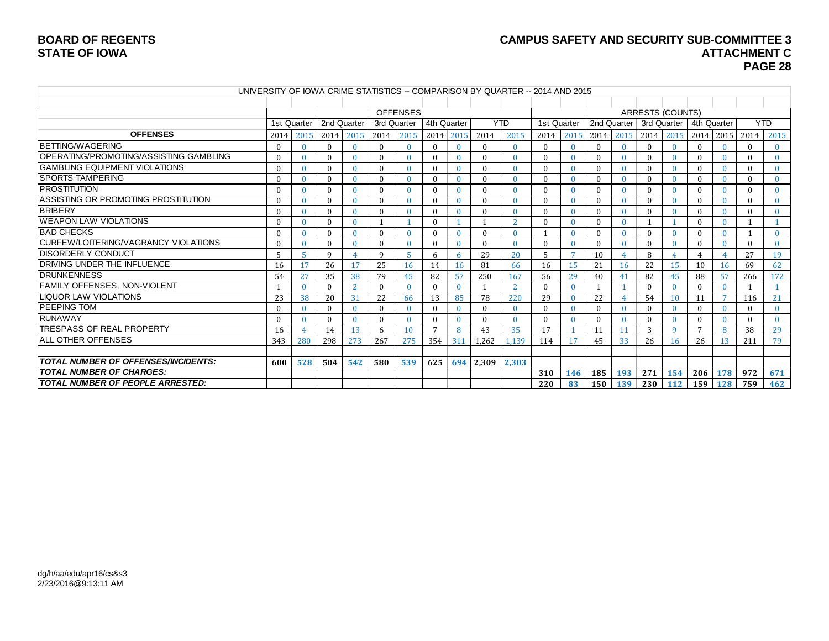#### **BOARD OF REGENTS CAMPUS SAFETY AND SECURITY SUB-COMMITTEE 3 STATE OF IOWA ATTACHMENT C PAGE 28**

|                                            |      |             |              |              |              |                 |              |     |           | UNIVERSITY OF IOWA CRIME STATISTICS -- COMPARISON BY QUARTER -- 2014 AND 2015 |             |                |     |              |                         |              |             |                 |          |              |
|--------------------------------------------|------|-------------|--------------|--------------|--------------|-----------------|--------------|-----|-----------|-------------------------------------------------------------------------------|-------------|----------------|-----|--------------|-------------------------|--------------|-------------|-----------------|----------|--------------|
|                                            |      |             |              |              |              |                 |              |     |           |                                                                               |             |                |     |              |                         |              |             |                 |          |              |
|                                            |      |             |              |              |              | <b>OFFENSES</b> |              |     |           |                                                                               |             |                |     |              | <b>ARRESTS (COUNTS)</b> |              |             |                 |          |              |
|                                            |      | 1st Quarter | 2nd Quarter  |              |              | 3rd Quarter     | 4th Quarter  |     |           | <b>YTD</b>                                                                    | 1st Quarter |                |     | 2nd Quarter  | 3rd Quarter             |              | 4th Quarter |                 |          | <b>YTD</b>   |
| <b>OFFENSES</b>                            | 2014 | 2015        | 2014         | 2015         | 2014         | 2015            | 2014 2015    |     | 2014      | 2015                                                                          | 2014        | 2015           |     | 2014 2015    | 2014                    | 2015         | 2014        | 2015            | 2014     | 2015         |
| <b>BETTING/WAGERING</b>                    |      |             | $\Omega$     |              | $\theta$     |                 |              |     |           |                                                                               | $\Omega$    |                |     | $\mathbf{0}$ | $\Omega$                | $\mathbf{0}$ |             | $\mathbf{0}$    | $\Omega$ | $\mathbf{0}$ |
| OPERATING/PROMOTING/ASSISTING GAMBLING     |      |             | $\Omega$     | $\Omega$     | $\mathbf{0}$ | $\Omega$        |              |     |           |                                                                               | $\Omega$    | $\mathbf{0}$   |     | $\mathbf{0}$ | $\theta$                | $\theta$     |             | $\mathbf{0}$    | $\Omega$ | $\Omega$     |
| <b>GAMBLING EQUIPMENT VIOLATIONS</b>       |      |             | $\theta$     | $\Omega$     | $\theta$     | $\mathbf{0}$    |              |     |           |                                                                               | $\theta$    | $\Omega$       |     | $\mathbf{0}$ | $\theta$                | $\Omega$     | $\Omega$    | $\mathbf{0}$    | $\Omega$ | $\Omega$     |
| <b>ISPORTS TAMPERING</b>                   |      |             | $\Omega$     |              | $\theta$     |                 |              |     |           |                                                                               | $\Omega$    | $\Omega$       |     | $\mathbf{0}$ | $\Omega$                | $\Omega$     |             | $\mathbf{0}$    | $\Omega$ | $\mathbf{0}$ |
| <b>PROSTITUTION</b>                        |      |             | $\Omega$     |              | $\theta$     | $\mathbf{0}$    |              |     |           |                                                                               | $\Omega$    | $\mathbf{0}$   |     | $\mathbf{0}$ | $\Omega$                | $\mathbf{0}$ |             | $\mathbf{0}$    | $\Omega$ | $\mathbf{0}$ |
| ASSISTING OR PROMOTING PROSTITUTION        |      |             | $\Omega$     | $\Omega$     | $\theta$     | $\Omega$        |              |     |           |                                                                               | $\theta$    | $\Omega$       |     | $\mathbf{0}$ | $\Omega$                | $\Omega$     | $\Omega$    | $\mathbf{0}$    | $\Omega$ | $\mathbf{0}$ |
| <b>BRIBERY</b>                             |      |             | $\Omega$     | $\Omega$     | $\theta$     | $\Omega$        |              |     |           |                                                                               | $\Omega$    | $\Omega$       |     | $\Omega$     | $\Omega$                | $\Omega$     | $\Omega$    | $\Omega$        | $\Omega$ | $\Omega$     |
| <b>WEAPON LAW VIOLATIONS</b>               |      |             | $\Omega$     | $\Omega$     | $\mathbf{1}$ |                 |              |     |           | h                                                                             | $\Omega$    | $\mathbf{0}$   |     | $\mathbf{0}$ |                         |              | $\Omega$    | $\mathbf{0}$    |          |              |
| <b>BAD CHECKS</b>                          |      |             | $\theta$     | $\Omega$     | $\theta$     | $\Omega$        |              |     |           | $\Omega$                                                                      |             | $\Omega$       |     | $\mathbf{0}$ | $\Omega$                | $\mathbf{0}$ | $\Omega$    | $\mathbf{0}$    |          | $\mathbf{0}$ |
| CURFEW/LOITERING/VAGRANCY VIOLATIONS       |      |             | $\Omega$     |              | $\theta$     | $\Omega$        |              |     | $\Omega$  | $\Omega$                                                                      | $\theta$    | $\Omega$       |     | $\mathbf{0}$ | $\Omega$                | $\Omega$     | $\Omega$    | $\Omega$        | $\Omega$ | $\Omega$     |
| <b>IDISORDERLY CONDUCT</b>                 |      |             | $\mathbf{Q}$ |              | 9            |                 | 6            |     | 29        | 20                                                                            | 5           | $\overline{ }$ | 10  |              | 8                       |              |             |                 | 27       | 19           |
| <b>IDRIVING UNDER THE INFLUENCE</b>        | 16   | 17          | 26           |              | 25           | 16              | 14           | 16  | 81        | 66                                                                            | 16          | 15             | 21  | 16           | 22                      | 15           | 10          | 16              | 69       | 62           |
| <b>DRUNKENNESS</b>                         | 54   | 27          | 35           | 38           | 79           | 45              | 82           | 57  | 250       | 167                                                                           | 56          | 29             | 40  | 41           | 82                      | 45           | 88          | 57              | 266      | 172          |
| FAMILY OFFENSES, NON-VIOLENT               |      |             | $\Omega$     | $\mathbf{D}$ | $\mathbf{0}$ | $\Omega$        |              |     |           | 2                                                                             | $\Omega$    | $\Omega$       |     |              | $\Omega$                | $\Omega$     |             | $\mathbf{0}$    |          |              |
| LIQUOR LAW VIOLATIONS                      | 23   | 38          | 20           | 31           | 22           | 66              | 13           | 85  | 78        | 220                                                                           | 29          |                | 22  | 4            | 54                      | 10           |             | $7\phantom{.0}$ | 116      | 21           |
| <b>PEEPING TOM</b>                         |      |             | $\Omega$     | $\Omega$     | $\theta$     | $\Omega$        |              |     | $\Omega$  | n                                                                             | $\theta$    | $\mathbf{0}$   |     | $\mathbf{0}$ | $\Omega$                | $\theta$     |             | $\mathbf{0}$    | $\Omega$ | $\Omega$     |
| <b>RUNAWAY</b>                             |      |             | $\Omega$     |              | $\mathbf{0}$ | $\Omega$        | $\Omega$     |     |           |                                                                               | $\Omega$    | $\Omega$       |     | $\Omega$     | $\Omega$                | $\Omega$     | $\Omega$    | $\Omega$        | $\Omega$ | $\Omega$     |
| <b>ITRESPASS OF REAL PROPERTY</b>          | 16   |             | 14           | 13           | 6            | 10              | $\mathbf{z}$ |     | 43        | 35                                                                            | 17          |                | 11  | 11           | 3                       | $\alpha$     |             | 8               | 38       | 29           |
| <b>ALL OTHER OFFENSES</b>                  | 343  | 280         | 298          | 273          | 267          | 275             | 354          | 311 | 1,262     | 1.139                                                                         | 114         | 17             | 45  | 33           | 26                      | <b>16</b>    | 26          | 13              | 211      | 79           |
|                                            |      |             |              |              |              |                 |              |     |           |                                                                               |             |                |     |              |                         |              |             |                 |          |              |
| <b>TOTAL NUMBER OF OFFENSES/INCIDENTS:</b> | 600  | 528         | 504          | 542          | 580          | 539             | 625          |     | 694 2,309 | 2,303                                                                         |             |                |     |              |                         |              |             |                 |          |              |
| <b>TOTAL NUMBER OF CHARGES:</b>            |      |             |              |              |              |                 |              |     |           |                                                                               | 310         | 146            | 185 | 193          | 271                     | 154          | 206         | 178             | 972      | 671          |
| TOTAL NUMBER OF PEOPLE ARRESTED:           |      |             |              |              |              |                 |              |     |           |                                                                               | 220         | 83             | 150 | 139          | 230                     | 112          | 159         | 128             | 759      | 462          |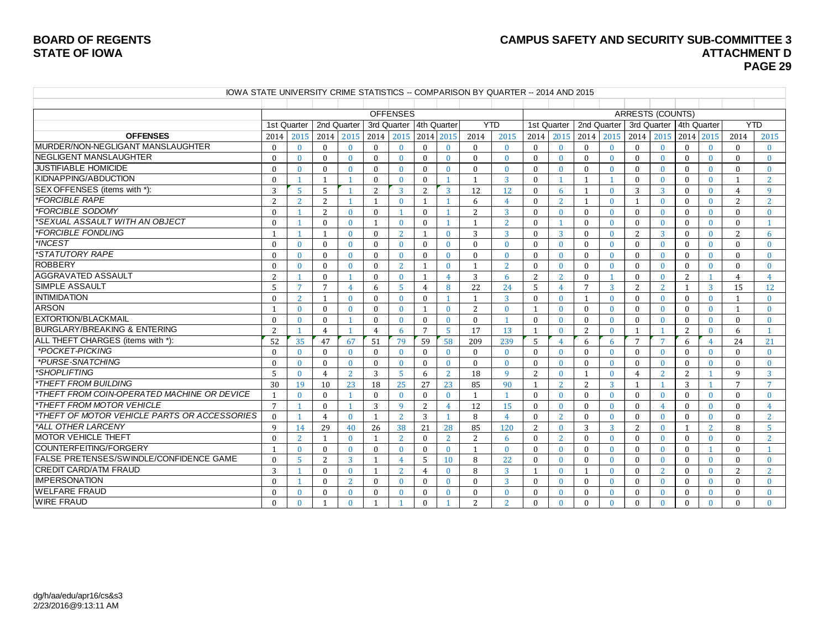#### **BOARD OF REGENTS CAMPUS SAFETY AND SECURITY SUB-COMMITTEE 3 STATE OF IOWA ATTACHMENT D PAGE 29**

| <u>IUWA STATE UNIVERSITY URIME STATISTICS -- CUMPARISUN BY QUARTER -- 2014 AND 2015</u> |                 |                |                 |                |                |                         |                |                 |                |                |                |                |                 |                |                |                         |              |                |                 |                |
|-----------------------------------------------------------------------------------------|-----------------|----------------|-----------------|----------------|----------------|-------------------------|----------------|-----------------|----------------|----------------|----------------|----------------|-----------------|----------------|----------------|-------------------------|--------------|----------------|-----------------|----------------|
|                                                                                         |                 |                |                 |                |                | <b>OFFENSES</b>         |                |                 |                |                |                |                |                 |                |                | <b>ARRESTS (COUNTS)</b> |              |                |                 |                |
|                                                                                         | 1st Quarter     |                | 2nd Quarter     |                |                | 3rd Quarter 4th Quarter |                |                 |                | <b>YTD</b>     | 1st Quarter    |                | 2nd Quarter     |                | 3rd Quarter    |                         | 4th Quarter  |                |                 | <b>YTD</b>     |
| <b>OFFENSES</b>                                                                         | 2014            | 2015           | 2014            | 2015           | 2014           | 2015                    | 2014 2015      |                 | 2014           | 2015           | 2014           | 2015           | 2014            | 2015           | 2014           | 2015                    | 2014         | 2015           | 2014            | 2015           |
| MURDER/NON-NEGLIGANT MANSLAUGHTER                                                       | $\Omega$        | $\mathbf{0}$   | $\Omega$        | $\overline{0}$ | $\theta$       | $\mathbf{0}$            | $\mathbf{0}$   | $\bf{0}$        | $\theta$       | $\mathbf{0}$   | $\theta$       | $\mathbf{0}$   | $\theta$        | $\mathbf{0}$   | $\Omega$       | $\mathbf{0}$            | $\theta$     | $\mathbf{0}$   | $\Omega$        | $\Omega$       |
| <b>NEGLIGENT MANSLAUGHTER</b>                                                           | $\Omega$        | $\Omega$       | $\Omega$        | $\theta$       | $\Omega$       | $\Omega$                | $\theta$       | $\mathbf{0}$    | $\Omega$       | $\Omega$       | $\Omega$       | $\Omega$       | $\Omega$        | $\theta$       | $\Omega$       | $\theta$                | $\Omega$     | $\mathbf{0}$   | $\Omega$        | $\Omega$       |
| <b>JUSTIFIABLE HOMICIDE</b>                                                             | $\theta$        | $\Omega$       | $\Omega$        | $\overline{0}$ | $\theta$       | $\Omega$                | $\mathbf{0}$   | $\mathbf{0}$    | $\Omega$       | $\mathbf{0}$   | $\Omega$       | $\Omega$       | $\theta$        | $\theta$       | $\theta$       | $\theta$                | $\theta$     | $\theta$       | 0               | $\mathbf{0}$   |
| KIDNAPPING/ABDUCTION                                                                    | $\Omega$        |                | $\overline{1}$  | $\overline{1}$ | $\Omega$       | $\Omega$                | $\theta$       |                 | $\mathbf{1}$   | $\mathbf{3}$   | $\Omega$       | $\overline{1}$ | $\mathbf{1}$    |                | $\Omega$       | $\Omega$                | $\Omega$     | $\Omega$       |                 | $\overline{2}$ |
| SEX OFFENSES (items with *):                                                            | 3               | $\sqrt{5}$     | $\overline{5}$  | $\overline{1}$ | 2              | $\overline{3}$          | 2              | $\overline{3}$  | 12             | 12             | $\theta$       | 6              | $\mathbf{1}$    | $\mathbf{0}$   | 3              | $\overline{3}$          | $\theta$     | $\mathbf{0}$   | $\overline{4}$  | $\mathbf{q}$   |
| <i><b>*FORCIBLE RAPE</b></i>                                                            | 2               | <sup>2</sup>   | 2               | $\overline{1}$ | $\mathbf{1}$   | $\theta$                | $\mathbf{1}$   |                 | 6              | 4              | $\theta$       | <sup>2</sup>   | $\mathbf{1}$    | $\theta$       | $\overline{1}$ | $\bf{0}$                | $\mathbf{0}$ | $\mathbf{0}$   | 2               | $\overline{2}$ |
| *FORCIBLE SODOMY                                                                        | $\Omega$        |                | 2               | $\theta$       | $\Omega$       | $\mathbf{1}$            | $\theta$       |                 | $\overline{2}$ | 3              | $\Omega$       | $\mathbf{0}$   | $\Omega$        | $\Omega$       | $\Omega$       | $\theta$                | $\theta$     | $\mathbf{0}$   | $\Omega$        | $\mathbf{0}$   |
| *SEXUAL ASSAULT WITH AN OBJECT                                                          | $\Omega$        |                | $\Omega$        | $\theta$       | $\overline{1}$ | $\Omega$                | $\mathbf{0}$   |                 |                | $\overline{2}$ | $\Omega$       |                | $\Omega$        | $\Omega$       | $\Omega$       | $\mathbf{0}$            | $\theta$     | $\mathbf{0}$   | $\Omega$        |                |
| *FORCIBLE FONDLING                                                                      |                 |                | -1              | $\Omega$       | $\Omega$       | $\overline{2}$          |                | $\Omega$        | 3              | 3              | $\Omega$       | 3              | $\Omega$        | $\Omega$       | 2              | $\overline{3}$          | $\Omega$     | $\Omega$       | $\overline{2}$  | 6              |
| *INCEST                                                                                 | $\Omega$        | $\mathbf{0}$   | $\Omega$        | $\theta$       | $\Omega$       | $\mathbf{0}$            | $\theta$       | $\mathbf{0}$    | $\theta$       | $\mathbf{0}$   | $\theta$       | $\mathbf{0}$   | $\theta$        | $\theta$       | $\Omega$       | $\mathbf{0}$            | $\theta$     | $\theta$       | $\Omega$        | $\mathbf{0}$   |
| *STATUTORY RAPE                                                                         | $\Omega$        | $\Omega$       | $\Omega$        | $\theta$       | $\Omega$       | $\Omega$                | $\theta$       | $\mathbf{0}$    | $\Omega$       | $\mathbf{0}$   | $\Omega$       | $\theta$       | $\theta$        | $\theta$       | $\Omega$       | $\theta$                | $\theta$     | $\theta$       | $\Omega$        | $\mathbf{0}$   |
| <b>ROBBERY</b>                                                                          | $\Omega$        | $\Omega$       | $\Omega$        | $\Omega$       | $\Omega$       | $\overline{2}$          |                | $\Omega$        |                | $\overline{2}$ | $\Omega$       | $\Omega$       | $\Omega$        | $\Omega$       | $\Omega$       | $\Omega$                | $\Omega$     | $\Omega$       | $\Omega$        | $\Omega$       |
| AGGRAVATED ASSAULT                                                                      | 2               |                | $\Omega$        | $\overline{1}$ | $\Omega$       | $\Omega$                | $\mathbf{1}$   | $\overline{4}$  | 3              | 6              | $\overline{2}$ | 2              | $\Omega$        |                | $\Omega$       | $\theta$                | 2            | $\mathbf{1}$   | $\overline{4}$  | $\overline{4}$ |
| SIMPLE ASSAULT                                                                          | $\overline{5}$  | $\overline{7}$ | $7\overline{ }$ | $\overline{4}$ | 6              | $\overline{5}$          | $\overline{4}$ | 8               | 22             | 24             | $\overline{5}$ | $\overline{4}$ | $7\phantom{.0}$ | $\overline{3}$ | 2              | <sup>2</sup>            | $\mathbf{1}$ | $\overline{3}$ | 15              | 12             |
| <b>INTIMIDATION</b>                                                                     | $\Omega$        | <sup>2</sup>   | $\overline{1}$  | $\theta$       | $\Omega$       | $\theta$                | $\mathbf{0}$   | $\mathbf{1}$    | $\mathbf{1}$   | 3              | $\theta$       | $\mathbf{0}$   | $\mathbf{1}$    | $\mathbf{0}$   | $\theta$       | $\theta$                | $\theta$     | $\mathbf{0}$   | -1              | $\mathbf{0}$   |
| <b>ARSON</b>                                                                            | $\mathbf{1}$    | $\Omega$       | $\Omega$        | $\theta$       | $\Omega$       | $\Omega$                | $\mathbf{1}$   | $\mathbf{0}$    | 2              | $\mathbf{0}$   | -1             | $\Omega$       | $\theta$        | $\theta$       | $\theta$       | $\mathbf{0}$            | $\theta$     | $\mathbf{0}$   | $\mathbf 1$     | $\mathbf{0}$   |
| <b>EXTORTION/BLACKMAIL</b>                                                              | $\Omega$        | $\Omega$       | $\Omega$        |                | $\Omega$       | $\Omega$                | $\Omega$       | $\Omega$        | $\Omega$       |                | $\Omega$       | $\Omega$       | $\Omega$        | $\Omega$       | $\Omega$       | $\Omega$                | $\Omega$     | $\Omega$       | $\Omega$        | $\Omega$       |
| <b>BURGLARY/BREAKING &amp; ENTERING</b>                                                 | 2               |                | $\overline{4}$  | $\overline{1}$ | 4              | 6                       | $\overline{7}$ | $5^{\circ}$     | 17             | 13             | -1             | $\theta$       | 2               | $\theta$       | $\overline{1}$ | $\overline{1}$          | 2            | $\mathbf{0}$   | 6               |                |
| ALL THEFT CHARGES (items with *):                                                       | 52              | 35             | 47              | 67             | 51             | 79                      | 59             | 58              | 209            | 239            | 5              | $\overline{4}$ | 6               | 6              | $\overline{7}$ | $\overline{7}$          | 6            | $\overline{4}$ | 24              | 21             |
| *POCKET-PICKING                                                                         | $\Omega$        | $\mathbf{0}$   | $\theta$        | $\overline{0}$ | $\theta$       | $\theta$                | $\theta$       | $\mathbf{0}$    | $\theta$       | $\mathbf{0}$   | $\theta$       | $\mathbf{0}$   | $\theta$        | $\theta$       | $\theta$       | $\theta$                | $\theta$     | $\theta$       | $\Omega$        | $\mathbf{0}$   |
| *PURSE-SNATCHING                                                                        | $\theta$        | $\Omega$       | $\Omega$        | $\theta$       | $\Omega$       | $\Omega$                | $\theta$       | $\mathbf{0}$    | $\Omega$       | $\Omega$       | $\Omega$       | $\Omega$       | $\theta$        | $\mathbf{0}$   | $\Omega$       | $\mathbf{0}$            | $\theta$     | $\Omega$       | 0               | $\mathbf{0}$   |
| *SHOPLIFTING                                                                            | $\overline{5}$  | $\Omega$       | $\overline{4}$  | $\overline{2}$ | 3              | $\overline{5}$          | 6              | 2               | 18             | 9              | $\overline{2}$ | $\mathbf{0}$   | $\mathbf{1}$    | $\mathbf{0}$   | $\overline{4}$ | <sup>2</sup>            | 2            | $\overline{1}$ | $\mathbf{q}$    | 3              |
| <i><b>*THEFT FROM BUILDING</b></i>                                                      | 30              | 19             | 10              | 23             | 18             | 25                      | 27             | 23              | 85             | 90             | -1             | 2              | 2               | 3              | $\mathbf{1}$   | $\overline{1}$          | 3            | $\mathbf{1}$   | $7\overline{ }$ | $\overline{7}$ |
| *THEFT FROM COIN-OPERATED MACHINE OR DEVICE                                             | $\overline{1}$  | $\mathbf{0}$   | $\theta$        | $\overline{1}$ | $\Omega$       | $\Omega$                | $\mathbf{0}$   | $\mathbf{0}$    | $\mathbf{1}$   | 1              | $\Omega$       | $\mathbf{0}$   | $\theta$        | $\theta$       | $\theta$       | $\mathbf{0}$            | $\theta$     | $\mathbf{0}$   | $\Omega$        | $\mathbf{0}$   |
| *THEFT FROM MOTOR VEHICLE                                                               | $7\phantom{.0}$ |                | $\Omega$        | $\overline{1}$ | 3              | 9                       | 2              | $\overline{4}$  | 12             | 15             | $\Omega$       | $\mathbf{0}$   | $\Omega$        | $\theta$       | $\Omega$       | $\overline{4}$          | $\theta$     | $\mathbf{0}$   | $\Omega$        | $\overline{4}$ |
| *THEFT OF MOTOR VEHICLE PARTS OR ACCESSORIES                                            | $\Omega$        |                | $\overline{4}$  | $\Omega$       | $\mathbf{1}$   | $\overline{2}$          | 3              |                 | 8              | $\overline{4}$ | $\Omega$       | $\overline{2}$ | $\Omega$        | $\Omega$       | $\Omega$       | $\Omega$                | $\Omega$     | $\mathbf{0}$   | 0               | $\overline{2}$ |
| *ALL OTHER LARCENY                                                                      | $\mathbf{q}$    | 14             | 29              | 40             | 26             | 38                      | 21             | 28              | 85             | 120            | $\overline{2}$ | $\mathbf{0}$   | 3               | $\overline{3}$ | 2              | $\theta$                | $\mathbf{1}$ | $\overline{2}$ | 8               | $\overline{5}$ |
| IMOTOR VEHICLE THEFT                                                                    | $\Omega$        | <sup>2</sup>   | $\overline{1}$  | $\theta$       | $\mathbf{1}$   | 2                       | $\mathbf{0}$   | $\overline{2}$  | 2              | 6              | $\theta$       | $\overline{2}$ | $\theta$        | $\theta$       | $\Omega$       | $\theta$                | $\theta$     | $\mathbf{0}$   | $\Omega$        | $\overline{2}$ |
| COUNTERFEITING/FORGERY                                                                  |                 | $\Omega$       | $\Omega$        | $\Omega$       | $\Omega$       | $\Omega$                | $\theta$       | $\mathbf{0}$    |                | $\Omega$       | $\Omega$       | $\Omega$       | $\Omega$        | $\Omega$       | $\Omega$       | $\Omega$                | $\theta$     | $\mathbf{1}$   | $\Omega$        |                |
| FALSE PRETENSES/SWINDLE/CONFIDENCE GAME                                                 | $\theta$        | $\sqrt{5}$     | 2               | $\overline{3}$ | $\mathbf{1}$   | $\overline{4}$          | $\overline{5}$ | 10 <sup>1</sup> | 8              | 22             | $\theta$       | $\mathbf{0}$   | $\theta$        | $\mathbf{0}$   | $\Omega$       | $\theta$                | $\theta$     | $\mathbf{0}$   | $\Omega$        | $\mathbf{0}$   |
| ICREDIT CARD/ATM FRAUD                                                                  | 3               | $\mathbf{1}$   | $\theta$        | $\overline{0}$ | $\mathbf{1}$   | 2                       | $\overline{4}$ | $\mathbf{0}$    | 8              | 3              | -1             | $\mathbf{0}$   | $\mathbf{1}$    | $\mathbf{0}$   | $\Omega$       | <sup>2</sup>            | $\theta$     | $\mathbf{0}$   | $\overline{2}$  | $\overline{2}$ |
| <b>IMPERSONATION</b>                                                                    | $\Omega$        |                | $\Omega$        | $\overline{2}$ | $\Omega$       | $\theta$                | $\mathbf{0}$   | $\mathbf{0}$    | $\Omega$       | $\overline{3}$ | $\theta$       | $\mathbf{0}$   | $\theta$        | $\mathbf{0}$   | $\Omega$       | $\theta$                | $\theta$     | $\mathbf{0}$   | $\Omega$        | $\mathbf{0}$   |
| <b>WELFARE FRAUD</b>                                                                    | $\Omega$        | $\Omega$       | $\theta$        | $\mathbf{0}$   | $\theta$       | $\theta$                | $\mathbf{0}$   | $\mathbf{0}$    | $\Omega$       | $\mathbf{0}$   | $\Omega$       | $\mathbf{0}$   | $\Omega$        | $\theta$       | $\theta$       | $\bf{0}$                | $\Omega$     | $\mathbf{0}$   | 0               | $\mathbf{0}$   |
| <b>WIRE FRAUD</b>                                                                       | $\Omega$        | $\Omega$       | $\overline{1}$  | $\Omega$       | $\mathbf{1}$   |                         | $\Omega$       |                 | $\overline{2}$ | $\overline{2}$ | $\Omega$       | $\Omega$       | $\Omega$        | $\Omega$       | $\Omega$       | $\Omega$                | $\Omega$     | $\Omega$       | $\Omega$        | $\Omega$       |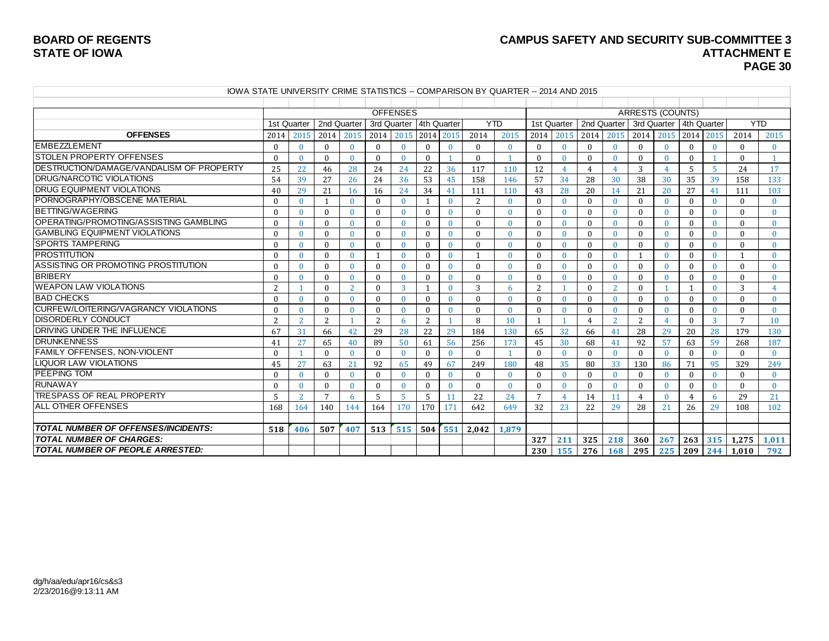#### **BOARD OF REGENTS CAMPUS SAFETY AND SECURITY SUB-COMMITTEE 3 STATE OF IOWA ATTACHMENT E PAGE 30**

| IOWA STATE UNIVERSITY CRIME STATISTICS -- COMPARISON BY QUARTER -- 2014 AND 2015 |          |             |              |              |              |                         |                          |              |          |              |             |                |          |                                         |                         |                |                |              |                |                |
|----------------------------------------------------------------------------------|----------|-------------|--------------|--------------|--------------|-------------------------|--------------------------|--------------|----------|--------------|-------------|----------------|----------|-----------------------------------------|-------------------------|----------------|----------------|--------------|----------------|----------------|
|                                                                                  |          |             |              |              |              |                         |                          |              |          |              |             |                |          |                                         |                         |                |                |              |                |                |
|                                                                                  |          |             |              |              |              | <b>OFFENSES</b>         |                          |              |          |              |             |                |          |                                         | <b>ARRESTS (COUNTS)</b> |                |                |              |                |                |
|                                                                                  |          | 1st Quarter | 2nd Quarter  |              |              | 3rd Quarter 4th Quarter |                          |              |          | <b>YTD</b>   | 1st Quarter |                |          | 2nd Quarter   3rd Quarter   4th Quarter |                         |                |                |              | <b>YTD</b>     |                |
| <b>OFFENSES</b>                                                                  | 2014     | 2015        | 2014         | 2015         | 2014 2015    |                         | 2014 2015                |              | 2014     | 2015         | 2014        | 2015           | 2014     | 2015                                    | 2014                    | 2015 2014      |                | 2015         | 2014           | 2015           |
| <b>EMBEZZLEMENT</b>                                                              | $\Omega$ | $\Omega$    | $\Omega$     | $\Omega$     | $\Omega$     | $\Omega$                | $\Omega$                 | $\Omega$     | $\Omega$ | $\mathbf{0}$ | 0           | $\Omega$       | $\Omega$ | $\Omega$                                | $\Omega$                | $\Omega$       | $\theta$       | $\Omega$     | $\Omega$       | $\mathbf{0}$   |
| <b>STOLEN PROPERTY OFFENSES</b>                                                  | $\theta$ | $\theta$    | $\Omega$     | $\mathbf{0}$ | $\theta$     | $\theta$                | $\mathbf{0}$             | $\mathbf{1}$ | $\Omega$ |              | $\theta$    | $\mathbf{0}$   | $\Omega$ | $\mathbf{0}$                            | $\mathbf{0}$            | $\mathbf{0}$   | $\mathbf{0}$   |              | $\Omega$       |                |
| DESTRUCTION/DAMAGE/VANDALISM OF PROPERTY                                         | 25       | 22          | 46           | 28           | 24           | 24                      | 22                       | 36           | 117      | 110          | 12          | $\overline{4}$ | 4        | $\overline{4}$                          | 3                       | $\overline{4}$ | 5              | 5            | 24             | 17             |
| DRUG/NARCOTIC VIOLATIONS                                                         | 54       | 39          | 27           | 26           | 24           | 36                      | 53                       | 45           | 158      | 146          | 57          | 34             | 28       | 30                                      | 38                      | 30             | 35             | 39           | 158            | 133            |
| <b>DRUG EQUIPMENT VIOLATIONS</b>                                                 | 40       | 29          | 21           | <b>16</b>    | 16           | 24                      | 34                       | 41           | 111      | 110          | 43          | 28             | 20       | 14                                      | 21                      | 20             | 27             | 41           | 111            | 103            |
| PORNOGRAPHY/OBSCENE MATERIAL                                                     | $\Omega$ | $\Omega$    | $\mathbf{1}$ | $\Omega$     | $\Omega$     | $\Omega$                | $\overline{\phantom{0}}$ | $\Omega$     | 2        | $\mathbf{0}$ | $\Omega$    | $\Omega$       | $\Omega$ | $\Omega$                                | $\Omega$                | $\Omega$       | $\theta$       | $\Omega$     | $\Omega$       | $\mathbf{0}$   |
| BETTING/WAGERING                                                                 | $\theta$ | $\theta$    | $\theta$     | $\theta$     | $\theta$     | $\theta$                | $\mathbf{0}$             | $\mathbf{0}$ | $\Omega$ | $\mathbf{0}$ | $\theta$    | $\mathbf{0}$   | $\Omega$ | $\theta$                                | $\theta$                | $\mathbf{0}$   | $\theta$       | $\mathbf{0}$ | $\Omega$       | $\mathbf{0}$   |
| OPERATING/PROMOTING/ASSISTING GAMBLING                                           | $\Omega$ | $\theta$    | $\theta$     | $\theta$     | $\theta$     | $\theta$                | $\theta$                 | $\theta$     | $\Omega$ | $\mathbf{0}$ | $\theta$    | $\theta$       | $\Omega$ | $\theta$                                | $\theta$                | $\theta$       | $\theta$       | $\Omega$     | $\Omega$       | $\mathbf{0}$   |
| <b>GAMBLING EQUIPMENT VIOLATIONS</b>                                             | $\Omega$ | $\Omega$    | $\Omega$     | $\theta$     | $\theta$     | $\theta$                | $\Omega$                 | $\mathbf{0}$ | $\Omega$ | $\mathbf{0}$ | $\theta$    | $\theta$       | $\Omega$ | $\theta$                                | $\theta$                | $\theta$       | $\Omega$       | $\mathbf{0}$ | $\Omega$       | $\mathbf{0}$   |
| <b>SPORTS TAMPERING</b>                                                          | $\Omega$ | $\Omega$    | $\Omega$     | $\Omega$     | $\theta$     | $\Omega$                | $\Omega$                 | $\Omega$     | 0        | $\theta$     | 0           | $\Omega$       | $\Omega$ | $\Omega$                                | $\theta$                | $\theta$       | $\theta$       | $\Omega$     | 0              | $\theta$       |
| <b>PROSTITUTION</b>                                                              | $\Omega$ | $\Omega$    | $\theta$     | $\Omega$     |              | $\Omega$                | $\theta$                 | $\Omega$     |          | $\mathbf{0}$ | $\Omega$    | $\Omega$       | $\Omega$ | $\Omega$                                | $\mathbf{1}$            | $\Omega$       | $\Omega$       | $\Omega$     | 1              | $\theta$       |
| ASSISTING OR PROMOTING PROSTITUTION                                              | $\Omega$ | $\Omega$    | $\Omega$     | $\mathbf{0}$ | $\theta$     | $\theta$                | $\Omega$                 | $\mathbf{0}$ | $\Omega$ | $\mathbf{0}$ | 0           | $\mathbf{0}$   | $\Omega$ | $\theta$                                | $\theta$                | $\mathbf{0}$   | $\Omega$       | $\mathbf{0}$ | $\Omega$       | $\theta$       |
| <b>BRIBERY</b>                                                                   | $\theta$ | $\Omega$    | $\Omega$     | $\theta$     | $\theta$     | $\Omega$                | $\theta$                 | $\theta$     | $\Omega$ | $\mathbf{0}$ | $\Omega$    | $\Omega$       | $\Omega$ | $\theta$                                | $\theta$                | $\theta$       | $\Omega$       | $\mathbf{0}$ | $\Omega$       | $\theta$       |
| <b>WEAPON LAW VIOLATIONS</b>                                                     | 2        |             | $\Omega$     | 2            | $\Omega$     | 3                       | $\overline{\phantom{0}}$ | $\Omega$     | 3        | 6            | 2           |                | $\Omega$ | $\overline{2}$                          | $\theta$                |                |                | $\Omega$     | 3              | $\overline{4}$ |
| <b>BAD CHECKS</b>                                                                | $\Omega$ | $\cup$      | $\theta$     | $\Omega$     | $\theta$     | $\Omega$                | $\Omega$                 | $\Omega$     | $\Omega$ | $\Omega$     | $\Omega$    | $\Omega$       | $\Omega$ | $\Omega$                                | $\Omega$                | $\theta$       | $\theta$       | $\Omega$     | $\Omega$       | $\theta$       |
| CURFEW/LOITERING/VAGRANCY VIOLATIONS                                             | $\Omega$ | $\Omega$    | $\theta$     | $\Omega$     | $\Omega$     | $\Omega$                | $\theta$                 | $\Omega$     | $\Omega$ | $\Omega$     | $\Omega$    | $\Omega$       | $\Omega$ | $\Omega$                                | $\Omega$                | $\Omega$       | $\Omega$       | $\Omega$     | $\Omega$       | $\theta$       |
| <b>DISORDERLY CONDUCT</b>                                                        | 2        | 2           | 2            |              | 2            | 6                       | 2                        | $\mathbf{1}$ | 8        | 10           |             |                | 4        | $\overline{2}$                          | $\overline{2}$          | $\overline{4}$ | $\theta$       | 3            | $\overline{7}$ | 10             |
| DRIVING UNDER THE INFLUENCE                                                      | 67       | 31          | 66           | 42           | 29           | 28                      | 22                       | 29           | 184      | 130          | 65          | 32             | 66       | 41                                      | 28                      | 29             | 20             | 28           | 179            | 130            |
| <b>DRUNKENNESS</b>                                                               | 41       | 27          | 65           | 40           | 89           | 50                      | 61                       | 56           | 256      | 173          | 45          | 30             | 68       | 41                                      | 92                      | 57             | 63             | 59           | 268            | 187            |
| FAMILY OFFENSES, NON-VIOLENT                                                     | $\theta$ |             | $\Omega$     | $\Omega$     | $\mathbf{0}$ | $\Omega$                | $\mathbf{0}$             | $\mathbf{0}$ | $\Omega$ |              | $\Omega$    | $\mathbf{0}$   | $\Omega$ | $\theta$                                | $\theta$                | $\mathbf{0}$   | $\mathbf{0}$   | $\theta$     | $\Omega$       | $\mathbf{0}$   |
| <b>LIQUOR LAW VIOLATIONS</b>                                                     | 45       | 27          | 63           | 21           | 92           | 65                      | 49                       | 67           | 249      | 180          | 48          | 35             | 80       | 33                                      | 130                     | 86             | 71             | 95           | 329            | 249            |
| PEEPING TOM                                                                      | $\theta$ | $\Omega$    | $\Omega$     | $\Omega$     | $\theta$     | $\theta$                | $\Omega$                 | $\mathbf{0}$ | $\Omega$ | $\mathbf{0}$ | $\theta$    | $\mathbf{0}$   | $\Omega$ | $\theta$                                | $\mathbf{0}$            | $\mathbf{0}$   | $\Omega$       | $\mathbf{0}$ | $\Omega$       | $\mathbf{0}$   |
| <b>RUNAWAY</b>                                                                   | $\theta$ | $\theta$    | $\theta$     | $\theta$     | $\theta$     | $\theta$                | $\theta$                 | $\theta$     | $\Omega$ | $\mathbf{0}$ | $\Omega$    | $\theta$       | $\Omega$ | $\theta$                                | $\theta$                | $\theta$       | $\theta$       | $\theta$     | $\Omega$       | $\mathbf{0}$   |
| <b>TRESPASS OF REAL PROPERTY</b>                                                 | 5        | 2           | 7            | 6            | 5            | 5                       | .5                       | 11           | 22       | 24           | 7           | $\overline{4}$ | 14       | 11                                      | 4                       | $\mathbf{0}$   | $\overline{4}$ | 6            | 29             | 21             |
| <b>ALL OTHER OFFENSES</b>                                                        | 168      | 164         | 140          | 144          | 164          | 170                     | 170                      | 171          | 642      | 649          | 32          | 23             | 22       | 29                                      | 28                      | 21             | 26             | 29           | 108            | 102            |
|                                                                                  |          |             |              |              |              |                         |                          |              |          |              |             |                |          |                                         |                         |                |                |              |                |                |
| <b>TOTAL NUMBER OF OFFENSES/INCIDENTS:</b>                                       | 518      | 406         | 507          | 407          | 513          | 515                     | 504                      | 551          | 2.042    | 1.879        |             |                |          |                                         |                         |                |                |              |                |                |
| <b>TOTAL NUMBER OF CHARGES:</b>                                                  |          |             |              |              |              |                         |                          |              |          |              | 327         | 211            | 325      | 218                                     | 360                     | 267            | 263            | 315          | 1.275          | 1.011          |
| <b>TOTAL NUMBER OF PEOPLE ARRESTED:</b>                                          |          |             |              |              |              |                         |                          |              |          |              | 230         | 155            | 276      | 168                                     | 295                     | 225            | 209            | 244          | 1.010          | 792            |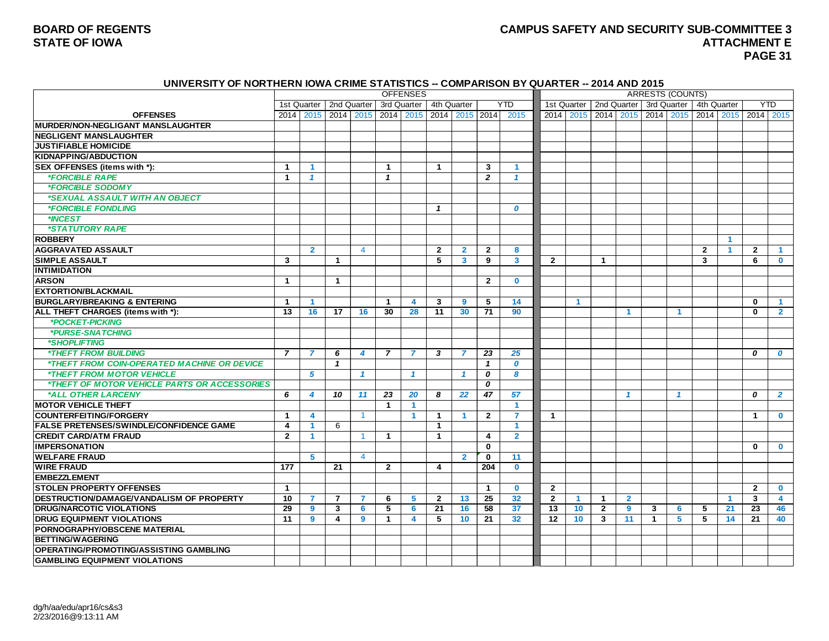#### **BOARD OF REGENTS CAMPUS SAFETY AND SECURITY SUB-COMMITTEE 3 STATE OF IOWA** ATTACHMENT E **PAGE 31**

#### **UNIVERSITY OF NORTHERN IOWA CRIME STATISTICS -- COMPARISON BY QUARTER -- 2014 AND 2015**

|                                                           | <b>OFFENSES</b>      |                      |                           |                      |                |                      |                |                      |                 |                      |                |                      |                           |                | <b>ARRESTS (COUNTS)</b> |              |                               |                      |              |                      |
|-----------------------------------------------------------|----------------------|----------------------|---------------------------|----------------------|----------------|----------------------|----------------|----------------------|-----------------|----------------------|----------------|----------------------|---------------------------|----------------|-------------------------|--------------|-------------------------------|----------------------|--------------|----------------------|
|                                                           |                      |                      | 1st Quarter   2nd Quarter |                      |                | 3rd Quarter          |                | 4th Quarter          |                 | <b>YTD</b>           |                |                      | 1st Quarter   2nd Quarter |                |                         |              | 3rd Quarter   4th Quarter     |                      |              | <b>YTD</b>           |
| <b>OFFENSES</b>                                           |                      | 2014 2015            |                           | 2014 2015            | 2014           | 2015                 |                | 2014 2015 2014       |                 | 2015                 | 2014           |                      | 2015 2014 2015            |                |                         |              | 2014 2015 2014 2015 2014 2015 |                      |              |                      |
| <b>MURDER/NON-NEGLIGANT MANSLAUGHTER</b>                  |                      |                      |                           |                      |                |                      |                |                      |                 |                      |                |                      |                           |                |                         |              |                               |                      |              |                      |
| <b>NEGLIGENT MANSLAUGHTER</b>                             |                      |                      |                           |                      |                |                      |                |                      |                 |                      |                |                      |                           |                |                         |              |                               |                      |              |                      |
| <b>JUSTIFIABLE HOMICIDE</b>                               |                      |                      |                           |                      |                |                      |                |                      |                 |                      |                |                      |                           |                |                         |              |                               |                      |              |                      |
| <b>KIDNAPPING/ABDUCTION</b>                               |                      |                      |                           |                      |                |                      |                |                      |                 |                      |                |                      |                           |                |                         |              |                               |                      |              |                      |
| SEX OFFENSES (items with *):                              | $\mathbf{1}$         | $\blacktriangleleft$ |                           |                      | $\mathbf{1}$   |                      | $\overline{1}$ |                      | 3               | $\blacktriangleleft$ |                |                      |                           |                |                         |              |                               |                      |              |                      |
| <i><b>*FORCIBLE RAPE</b></i>                              | $\mathbf{1}$         | $\mathbf{1}$         |                           |                      | $\mathbf{1}$   |                      |                |                      | $\overline{2}$  | $\mathbf{1}$         |                |                      |                           |                |                         |              |                               |                      |              |                      |
| *FORCIBLE SODOMY                                          |                      |                      |                           |                      |                |                      |                |                      |                 |                      |                |                      |                           |                |                         |              |                               |                      |              |                      |
| *SEXUAL ASSAULT WITH AN OBJECT                            |                      |                      |                           |                      |                |                      |                |                      |                 |                      |                |                      |                           |                |                         |              |                               |                      |              |                      |
| <b>*FORCIBLE FONDLING</b>                                 |                      |                      |                           |                      |                |                      | $\mathbf{1}$   |                      |                 | 0                    |                |                      |                           |                |                         |              |                               |                      |              |                      |
| *INCEST                                                   |                      |                      |                           |                      |                |                      |                |                      |                 |                      |                |                      |                           |                |                         |              |                               |                      |              |                      |
| *STATUTORY RAPE                                           |                      |                      |                           |                      |                |                      |                |                      |                 |                      |                |                      |                           |                |                         |              |                               |                      |              |                      |
| <b>ROBBERY</b>                                            |                      |                      |                           |                      |                |                      |                |                      |                 |                      |                |                      |                           |                |                         |              |                               | $\blacktriangleleft$ |              |                      |
| <b>AGGRAVATED ASSAULT</b>                                 |                      | $\mathbf{2}$         |                           | $\overline{4}$       |                |                      | $\mathbf{2}$   | $\mathbf{2}$         | $\mathbf{2}$    | 8                    |                |                      |                           |                |                         |              | $\mathbf{2}$                  | 1                    | $\mathbf{2}$ |                      |
| <b>SIMPLE ASSAULT</b>                                     | 3                    |                      | $\mathbf{1}$              |                      |                |                      | 5              | 3                    | 9               | $\mathbf{3}$         | $\overline{2}$ |                      | $\mathbf{1}$              |                |                         |              | 3                             |                      | 6            | $\mathbf{0}$         |
| <b>INTIMIDATION</b>                                       |                      |                      |                           |                      |                |                      |                |                      |                 |                      |                |                      |                           |                |                         |              |                               |                      |              |                      |
| <b>ARSON</b>                                              | $\mathbf{1}$         |                      | $\mathbf{1}$              |                      |                |                      |                |                      | $\mathbf{2}$    | $\bf{0}$             |                |                      |                           |                |                         |              |                               |                      |              |                      |
| <b>EXTORTION/BLACKMAIL</b>                                |                      |                      |                           |                      |                |                      |                |                      |                 |                      |                |                      |                           |                |                         |              |                               |                      |              |                      |
| <b>BURGLARY/BREAKING &amp; ENTERING</b>                   | $\mathbf{1}$         | -1                   |                           |                      | $\mathbf{1}$   | 4                    | 3              | 9                    | 5               | 14                   |                | $\blacktriangleleft$ |                           |                |                         |              |                               |                      | $\mathbf{0}$ | $\blacktriangleleft$ |
| ALL THEFT CHARGES (items with *):                         | 13                   | 16                   | 17                        | 16                   | 30             | 28                   | 11             | 30                   | 71              | 90                   |                |                      |                           | -1             |                         | -1           |                               |                      | $\bf{0}$     | $\mathbf{2}$         |
| *POCKET-PICKING                                           |                      |                      |                           |                      |                |                      |                |                      |                 |                      |                |                      |                           |                |                         |              |                               |                      |              |                      |
| *PURSE-SNATCHING                                          |                      |                      |                           |                      |                |                      |                |                      |                 |                      |                |                      |                           |                |                         |              |                               |                      |              |                      |
| *SHOPLIFTING                                              |                      |                      |                           |                      |                |                      |                |                      |                 |                      |                |                      |                           |                |                         |              |                               |                      |              |                      |
| <i><b>*THEFT FROM BUILDING</b></i>                        | $\overline{7}$       | 7                    | 6                         | 4                    | $\overline{ }$ | 7                    | $\mathbf{3}$   | $\overline{7}$       | 23              | 25                   |                |                      |                           |                |                         |              |                               |                      | 0            | $\boldsymbol{o}$     |
| <i><b>*THEFT FROM COIN-OPERATED MACHINE OR DEVICE</b></i> |                      |                      | $\mathbf{1}$              |                      |                |                      |                |                      | $\mathbf{1}$    | $\boldsymbol{0}$     |                |                      |                           |                |                         |              |                               |                      |              |                      |
| <i><b>*THEFT FROM MOTOR VEHICLE</b></i>                   |                      | 5                    |                           | $\mathbf{1}$         |                | $\mathcal I$         |                | $\mathcal I$         | 0               | 8                    |                |                      |                           |                |                         |              |                               |                      |              |                      |
| *THEFT OF MOTOR VEHICLE PARTS OR ACCESSORIES              |                      |                      |                           |                      |                |                      |                |                      | 0               |                      |                |                      |                           |                |                         |              |                               |                      |              |                      |
| *ALL OTHER LARCENY                                        | 6                    | 4                    | 10                        | 11                   | 23             | 20                   | 8              | 22                   | 47              | 57                   |                |                      |                           | $\mathbf{1}$   |                         | $\mathcal I$ |                               |                      | 0            | $\overline{2}$       |
| <b>MOTOR VEHICLE THEFT</b>                                |                      |                      |                           |                      | $\mathbf{1}$   | -1                   |                |                      |                 | $\blacktriangleleft$ |                |                      |                           |                |                         |              |                               |                      |              |                      |
| <b>COUNTERFEITING/FORGERY</b>                             | $\mathbf{1}$         | 4                    |                           | $\blacktriangleleft$ |                | $\blacktriangleleft$ | $\mathbf{1}$   | $\blacktriangleleft$ | $\mathbf{2}$    | 7                    | $\mathbf{1}$   |                      |                           |                |                         |              |                               |                      | $\mathbf{1}$ | $\mathbf{0}$         |
| <b>FALSE PRETENSES/SWINDLE/CONFIDENCE GAME</b>            | 4                    | $\blacktriangleleft$ | 6                         |                      |                |                      | $\mathbf{1}$   |                      |                 | -1                   |                |                      |                           |                |                         |              |                               |                      |              |                      |
| <b>CREDIT CARD/ATM FRAUD</b>                              | $\overline{2}$       | $\blacktriangleleft$ |                           | $\overline{1}$       | $\mathbf{1}$   |                      | $\mathbf{1}$   |                      | 4               | $\overline{2}$       |                |                      |                           |                |                         |              |                               |                      |              |                      |
| <b>IMPERSONATION</b>                                      |                      |                      |                           |                      |                |                      |                |                      | $\mathbf 0$     |                      |                |                      |                           |                |                         |              |                               |                      | $\mathbf{0}$ | $\mathbf{0}$         |
| <b>WELFARE FRAUD</b>                                      |                      | 5                    |                           | $\overline{4}$       |                |                      |                | $\overline{2}$       | $\mathbf 0$     | 11                   |                |                      |                           |                |                         |              |                               |                      |              |                      |
| <b>WIRE FRAUD</b>                                         | 177                  |                      | 21                        |                      | $\mathbf{2}$   |                      | 4              |                      | 204             | $\mathbf 0$          |                |                      |                           |                |                         |              |                               |                      |              |                      |
| <b>EMBEZZLEMENT</b>                                       |                      |                      |                           |                      |                |                      |                |                      |                 |                      |                |                      |                           |                |                         |              |                               |                      |              |                      |
| <b>STOLEN PROPERTY OFFENSES</b>                           | $\blacktriangleleft$ |                      |                           |                      |                |                      |                |                      | $\mathbf{1}$    | $\mathbf 0$          | $\mathbf{2}$   |                      |                           |                |                         |              |                               |                      | $\mathbf{2}$ | $\mathbf{0}$         |
| DESTRUCTION/DAMAGE/VANDALISM OF PROPERTY                  | 10                   | 7                    | $\overline{7}$            | 7                    | 6              | 5                    | $\mathbf{2}$   | 13                   | 25              | 32                   | $\overline{2}$ | -1                   | $\mathbf 1$               | $\mathbf{2}$   |                         |              |                               | $\blacktriangleleft$ | 3            | 4                    |
| <b>DRUG/NARCOTIC VIOLATIONS</b>                           | 29                   | 9                    | 3                         | 6                    | 5              | 6                    | 21             | 16                   | 58              | 37                   | 13             | 10                   | $\mathbf{2}$              | $\overline{9}$ | 3                       | 6            | 5                             | 21                   | 23           | 46                   |
| <b>DRUG EQUIPMENT VIOLATIONS</b>                          | 11                   | 9                    | 4                         | 9                    | $\mathbf{1}$   | 4                    | 5              | 10                   | $\overline{21}$ | 32                   | 12             | 10                   | 3                         | 11             | $\mathbf{1}$            | 5            | 5                             | 14                   | 21           | 40                   |
| PORNOGRAPHY/OBSCENE MATERIAL                              |                      |                      |                           |                      |                |                      |                |                      |                 |                      |                |                      |                           |                |                         |              |                               |                      |              |                      |
| <b>BETTING/WAGERING</b>                                   |                      |                      |                           |                      |                |                      |                |                      |                 |                      |                |                      |                           |                |                         |              |                               |                      |              |                      |
| OPERATING/PROMOTING/ASSISTING GAMBLING                    |                      |                      |                           |                      |                |                      |                |                      |                 |                      |                |                      |                           |                |                         |              |                               |                      |              |                      |
| <b>GAMBLING EQUIPMENT VIOLATIONS</b>                      |                      |                      |                           |                      |                |                      |                |                      |                 |                      |                |                      |                           |                |                         |              |                               |                      |              |                      |